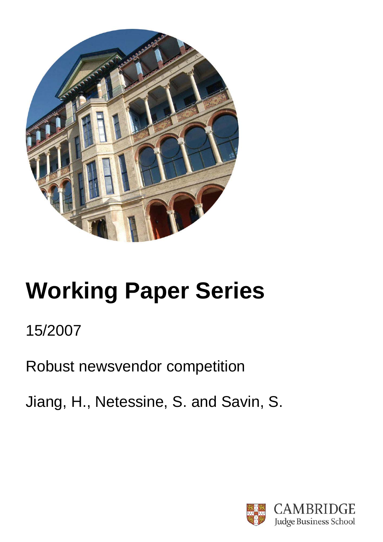

# **Working Paper Series**

# 15/2007

Robust newsvendor competition

Jiang, H., Netessine, S. and Savin, S.

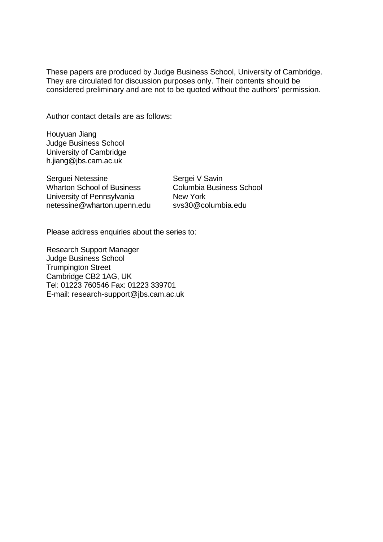These papers are produced by Judge Business School, University of Cambridge. They are circulated for discussion purposes only. Their contents should be considered preliminary and are not to be quoted without the authors' permission.

Author contact details are as follows:

Houyuan Jiang Judge Business School University of Cambridge h.jiang@jbs.cam.ac.uk

Serguei Netessine Wharton School of Business University of Pennsylvania netessine@wharton.upenn.edu

Sergei V Savin Columbia Business School New York svs30@columbia.edu

Please address enquiries about the series to:

Research Support Manager Judge Business School Trumpington Street Cambridge CB2 1AG, UK Tel: 01223 760546 Fax: 01223 339701 E-mail: research-support@jbs.cam.ac.uk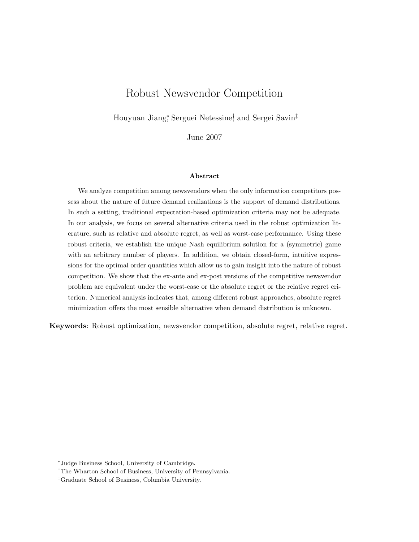# Robust Newsvendor Competition

Houyuan Jiang<sup>∗</sup> , Serguei Netessine† , and Sergei Savin‡

June 2007

#### Abstract

We analyze competition among newsvendors when the only information competitors possess about the nature of future demand realizations is the support of demand distributions. In such a setting, traditional expectation-based optimization criteria may not be adequate. In our analysis, we focus on several alternative criteria used in the robust optimization literature, such as relative and absolute regret, as well as worst-case performance. Using these robust criteria, we establish the unique Nash equilibrium solution for a (symmetric) game with an arbitrary number of players. In addition, we obtain closed-form, intuitive expressions for the optimal order quantities which allow us to gain insight into the nature of robust competition. We show that the ex-ante and ex-post versions of the competitive newsvendor problem are equivalent under the worst-case or the absolute regret or the relative regret criterion. Numerical analysis indicates that, among different robust approaches, absolute regret minimization offers the most sensible alternative when demand distribution is unknown.

Keywords: Robust optimization, newsvendor competition, absolute regret, relative regret.

<sup>∗</sup> Judge Business School, University of Cambridge.

<sup>†</sup>The Wharton School of Business, University of Pennsylvania.

<sup>‡</sup>Graduate School of Business, Columbia University.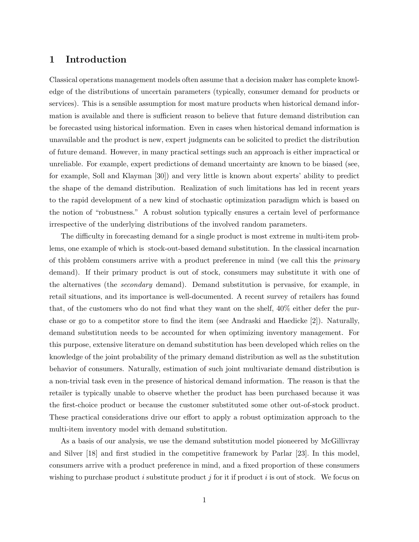# 1 Introduction

Classical operations management models often assume that a decision maker has complete knowledge of the distributions of uncertain parameters (typically, consumer demand for products or services). This is a sensible assumption for most mature products when historical demand information is available and there is sufficient reason to believe that future demand distribution can be forecasted using historical information. Even in cases when historical demand information is unavailable and the product is new, expert judgments can be solicited to predict the distribution of future demand. However, in many practical settings such an approach is either impractical or unreliable. For example, expert predictions of demand uncertainty are known to be biased (see, for example, Soll and Klayman [30]) and very little is known about experts' ability to predict the shape of the demand distribution. Realization of such limitations has led in recent years to the rapid development of a new kind of stochastic optimization paradigm which is based on the notion of "robustness." A robust solution typically ensures a certain level of performance irrespective of the underlying distributions of the involved random parameters.

The difficulty in forecasting demand for a single product is most extreme in multi-item problems, one example of which is stock-out-based demand substitution. In the classical incarnation of this problem consumers arrive with a product preference in mind (we call this the *primary* demand). If their primary product is out of stock, consumers may substitute it with one of the alternatives (the secondary demand). Demand substitution is pervasive, for example, in retail situations, and its importance is well-documented. A recent survey of retailers has found that, of the customers who do not find what they want on the shelf, 40% either defer the purchase or go to a competitor store to find the item (see Andraski and Haedicke [2]). Naturally, demand substitution needs to be accounted for when optimizing inventory management. For this purpose, extensive literature on demand substitution has been developed which relies on the knowledge of the joint probability of the primary demand distribution as well as the substitution behavior of consumers. Naturally, estimation of such joint multivariate demand distribution is a non-trivial task even in the presence of historical demand information. The reason is that the retailer is typically unable to observe whether the product has been purchased because it was the first-choice product or because the customer substituted some other out-of-stock product. These practical considerations drive our effort to apply a robust optimization approach to the multi-item inventory model with demand substitution.

As a basis of our analysis, we use the demand substitution model pioneered by McGillivray and Silver [18] and first studied in the competitive framework by Parlar [23]. In this model, consumers arrive with a product preference in mind, and a fixed proportion of these consumers wishing to purchase product i substitute product j for it if product i is out of stock. We focus on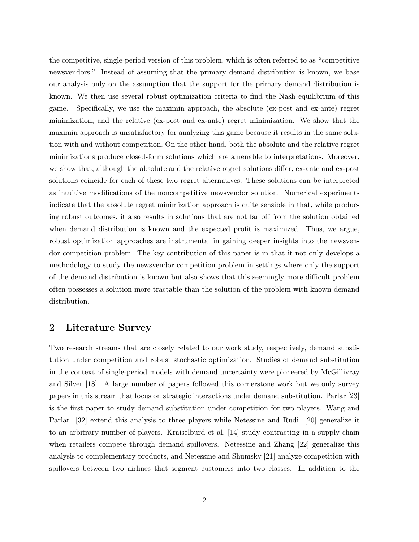the competitive, single-period version of this problem, which is often referred to as "competitive newsvendors." Instead of assuming that the primary demand distribution is known, we base our analysis only on the assumption that the support for the primary demand distribution is known. We then use several robust optimization criteria to find the Nash equilibrium of this game. Specifically, we use the maximin approach, the absolute (ex-post and ex-ante) regret minimization, and the relative (ex-post and ex-ante) regret minimization. We show that the maximin approach is unsatisfactory for analyzing this game because it results in the same solution with and without competition. On the other hand, both the absolute and the relative regret minimizations produce closed-form solutions which are amenable to interpretations. Moreover, we show that, although the absolute and the relative regret solutions differ, ex-ante and ex-post solutions coincide for each of these two regret alternatives. These solutions can be interpreted as intuitive modifications of the noncompetitive newsvendor solution. Numerical experiments indicate that the absolute regret minimization approach is quite sensible in that, while producing robust outcomes, it also results in solutions that are not far off from the solution obtained when demand distribution is known and the expected profit is maximized. Thus, we argue, robust optimization approaches are instrumental in gaining deeper insights into the newsvendor competition problem. The key contribution of this paper is in that it not only develops a methodology to study the newsvendor competition problem in settings where only the support of the demand distribution is known but also shows that this seemingly more difficult problem often possesses a solution more tractable than the solution of the problem with known demand distribution.

# 2 Literature Survey

Two research streams that are closely related to our work study, respectively, demand substitution under competition and robust stochastic optimization. Studies of demand substitution in the context of single-period models with demand uncertainty were pioneered by McGillivray and Silver [18]. A large number of papers followed this cornerstone work but we only survey papers in this stream that focus on strategic interactions under demand substitution. Parlar [23] is the first paper to study demand substitution under competition for two players. Wang and Parlar [32] extend this analysis to three players while Netessine and Rudi [20] generalize it to an arbitrary number of players. Kraiselburd et al. [14] study contracting in a supply chain when retailers compete through demand spillovers. Netessine and Zhang [22] generalize this analysis to complementary products, and Netessine and Shumsky [21] analyze competition with spillovers between two airlines that segment customers into two classes. In addition to the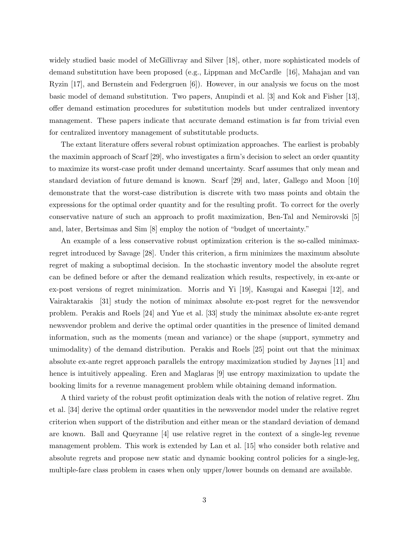widely studied basic model of McGillivray and Silver [18], other, more sophisticated models of demand substitution have been proposed (e.g., Lippman and McCardle [16], Mahajan and van Ryzin [17], and Bernstein and Federgruen [6]). However, in our analysis we focus on the most basic model of demand substitution. Two papers, Anupindi et al. [3] and Kok and Fisher [13], offer demand estimation procedures for substitution models but under centralized inventory management. These papers indicate that accurate demand estimation is far from trivial even for centralized inventory management of substitutable products.

The extant literature offers several robust optimization approaches. The earliest is probably the maximin approach of Scarf [29], who investigates a firm's decision to select an order quantity to maximize its worst-case profit under demand uncertainty. Scarf assumes that only mean and standard deviation of future demand is known. Scarf [29] and, later, Gallego and Moon [10] demonstrate that the worst-case distribution is discrete with two mass points and obtain the expressions for the optimal order quantity and for the resulting profit. To correct for the overly conservative nature of such an approach to profit maximization, Ben-Tal and Nemirovski [5] and, later, Bertsimas and Sim [8] employ the notion of "budget of uncertainty."

An example of a less conservative robust optimization criterion is the so-called minimaxregret introduced by Savage [28]. Under this criterion, a firm minimizes the maximum absolute regret of making a suboptimal decision. In the stochastic inventory model the absolute regret can be defined before or after the demand realization which results, respectively, in ex-ante or ex-post versions of regret minimization. Morris and Yi [19], Kasugai and Kasegai [12], and Vairaktarakis [31] study the notion of minimax absolute ex-post regret for the newsvendor problem. Perakis and Roels [24] and Yue et al. [33] study the minimax absolute ex-ante regret newsvendor problem and derive the optimal order quantities in the presence of limited demand information, such as the moments (mean and variance) or the shape (support, symmetry and unimodality) of the demand distribution. Perakis and Roels [25] point out that the minimax absolute ex-ante regret approach parallels the entropy maximization studied by Jaynes [11] and hence is intuitively appealing. Eren and Maglaras [9] use entropy maximization to update the booking limits for a revenue management problem while obtaining demand information.

A third variety of the robust profit optimization deals with the notion of relative regret. Zhu et al. [34] derive the optimal order quantities in the newsvendor model under the relative regret criterion when support of the distribution and either mean or the standard deviation of demand are known. Ball and Queyranne [4] use relative regret in the context of a single-leg revenue management problem. This work is extended by Lan et al. [15] who consider both relative and absolute regrets and propose new static and dynamic booking control policies for a single-leg, multiple-fare class problem in cases when only upper/lower bounds on demand are available.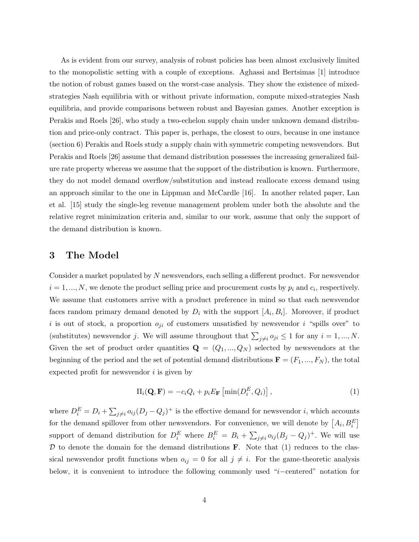As is evident from our survey, analysis of robust policies has been almost exclusively limited to the monopolistic setting with a couple of exceptions. Aghassi and Bertsimas [1] introduce the notion of robust games based on the worst-case analysis. They show the existence of mixedstrategies Nash equilibria with or without private information, compute mixed-strategies Nash equilibria, and provide comparisons between robust and Bayesian games. Another exception is Perakis and Roels [26], who study a two-echelon supply chain under unknown demand distribution and price-only contract. This paper is, perhaps, the closest to ours, because in one instance (section 6) Perakis and Roels study a supply chain with symmetric competing newsvendors. But Perakis and Roels [26] assume that demand distribution possesses the increasing generalized failure rate property whereas we assume that the support of the distribution is known. Furthermore, they do not model demand overflow/substitution and instead reallocate excess demand using an approach similar to the one in Lippman and McCardle [16]. In another related paper, Lan et al. [15] study the single-leg revenue management problem under both the absolute and the relative regret minimization criteria and, similar to our work, assume that only the support of the demand distribution is known.

# 3 The Model

Consider a market populated by N newsvendors, each selling a different product. For newsvendor  $i = 1, ..., N$ , we denote the product selling price and procurement costs by  $p_i$  and  $c_i$ , respectively. We assume that customers arrive with a product preference in mind so that each newsvendor faces random primary demand denoted by  $D_i$  with the support  $[A_i, B_i]$ . Moreover, if product i is out of stock, a proportion  $o_{ji}$  of customers unsatisfied by newsvendor i "spills over" to (substitutes) newsvendor j. We will assume throughout that  $\sum_{j\neq i}o_{ji}\leq 1$  for any  $i=1,...,N$ . Given the set of product order quantities  $\mathbf{Q} = (Q_1, ..., Q_N)$  selected by newsvendors at the beginning of the period and the set of potential demand distributions  $\mathbf{F} = (F_1, ..., F_N)$ , the total expected profit for newsvendor  $i$  is given by

$$
\Pi_i(\mathbf{Q}, \mathbf{F}) = -c_i Q_i + p_i E_{\mathbf{F}} \left[ \min(D_i^E, Q_i) \right],\tag{1}
$$

where  $D_i^E = D_i + \sum_{j \neq i} o_{ij} (D_j - Q_j)^+$  is the effective demand for newsvendor *i*, which accounts for the demand spillover from other newsvendors. For convenience, we will denote by  $\left[ A_i, B_i^E \right]$ support of demand distribution for  $D_i^E$  where  $B_i^E = B_i + \sum_{j\neq i} o_{ij} (B_j - Q_j)^+$ . We will use  $D$  to denote the domain for the demand distributions  $\bf{F}$ . Note that (1) reduces to the classical newsvendor profit functions when  $o_{ij} = 0$  for all  $j \neq i$ . For the game-theoretic analysis below, it is convenient to introduce the following commonly used "i−centered" notation for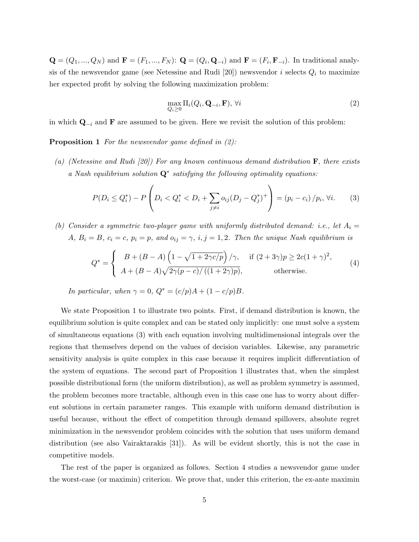${\bf Q} = (Q_1, ..., Q_N)$  and  ${\bf F} = (F_1, ..., F_N)$ :  ${\bf Q} = (Q_i, {\bf Q}_{-i})$  and  ${\bf F} = (F_i, {\bf F}_{-i})$ . In traditional analysis of the newsvendor game (see Netessine and Rudi [20]) newsvendor  $i$  selects  $Q_i$  to maximize her expected profit by solving the following maximization problem:

$$
\max_{Q_i \ge 0} \Pi_i(Q_i, \mathbf{Q}_{-i}, \mathbf{F}), \forall i
$$
\n(2)

in which  $\mathbf{Q}_{-i}$  and **F** are assumed to be given. Here we revisit the solution of this problem:

**Proposition 1** For the newsvendor game defined in  $(2)$ :

(a) (Netessine and Rudi [20]) For any known continuous demand distribution  $\bf{F}$ , there exists a Nash equilibrium solution  $Q^*$  satisfying the following optimality equations:

$$
P(D_i \le Q_i^*) - P\left(D_i < Q_i^* < D_i + \sum_{j \neq i} o_{ij} (D_j - Q_j^*)^+\right) = (p_i - c_i) / p_i, \forall i. \tag{3}
$$

(b) Consider a symmetric two-player game with uniformly distributed demand: i.e., let  $A_i =$ A,  $B_i = B$ ,  $c_i = c$ ,  $p_i = p$ , and  $o_{ij} = \gamma$ ,  $i, j = 1, 2$ . Then the unique Nash equilibrium is

$$
Q^* = \begin{cases} B + (B - A) \left( 1 - \sqrt{1 + 2\gamma c/p} \right) / \gamma, & \text{if } (2 + 3\gamma)p \ge 2c(1 + \gamma)^2, \\ A + (B - A)\sqrt{2\gamma(p - c)/(1 + 2\gamma)p}, & \text{otherwise.} \end{cases}
$$
(4)

In particular, when  $\gamma = 0$ ,  $Q^* = (c/p)A + (1 - c/p)B$ .

We state Proposition 1 to illustrate two points. First, if demand distribution is known, the equilibrium solution is quite complex and can be stated only implicitly: one must solve a system of simultaneous equations (3) with each equation involving multidimensional integrals over the regions that themselves depend on the values of decision variables. Likewise, any parametric sensitivity analysis is quite complex in this case because it requires implicit differentiation of the system of equations. The second part of Proposition 1 illustrates that, when the simplest possible distributional form (the uniform distribution), as well as problem symmetry is assumed, the problem becomes more tractable, although even in this case one has to worry about different solutions in certain parameter ranges. This example with uniform demand distribution is useful because, without the effect of competition through demand spillovers, absolute regret minimization in the newsvendor problem coincides with the solution that uses uniform demand distribution (see also Vairaktarakis [31]). As will be evident shortly, this is not the case in competitive models.

The rest of the paper is organized as follows. Section 4 studies a newsvendor game under the worst-case (or maximin) criterion. We prove that, under this criterion, the ex-ante maximin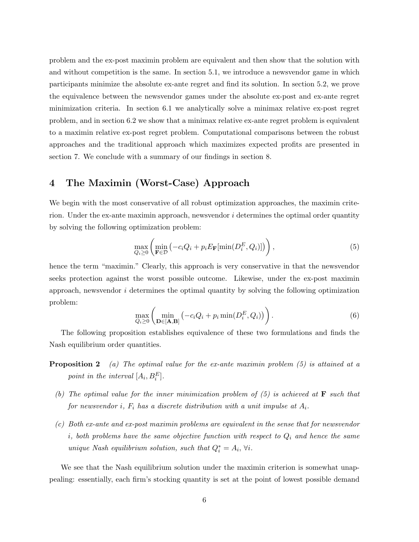problem and the ex-post maximin problem are equivalent and then show that the solution with and without competition is the same. In section 5.1, we introduce a newsvendor game in which participants minimize the absolute ex-ante regret and find its solution. In section 5.2, we prove the equivalence between the newsvendor games under the absolute ex-post and ex-ante regret minimization criteria. In section 6.1 we analytically solve a minimax relative ex-post regret problem, and in section 6.2 we show that a minimax relative ex-ante regret problem is equivalent to a maximin relative ex-post regret problem. Computational comparisons between the robust approaches and the traditional approach which maximizes expected profits are presented in section 7. We conclude with a summary of our findings in section 8.

# 4 The Maximin (Worst-Case) Approach

We begin with the most conservative of all robust optimization approaches, the maximin criterion. Under the ex-ante maximin approach, newsvendor  $i$  determines the optimal order quantity by solving the following optimization problem:

$$
\max_{Q_i \ge 0} \left( \min_{\mathbf{F} \in \mathcal{D}} \left( -c_i Q_i + p_i E_{\mathbf{F}}[\min(D_i^E, Q_i)] \right) \right),\tag{5}
$$

hence the term "maximin." Clearly, this approach is very conservative in that the newsvendor seeks protection against the worst possible outcome. Likewise, under the ex-post maximin approach, newsvendor  $i$  determines the optimal quantity by solving the following optimization problem:

$$
\max_{Q_i \ge 0} \left( \min_{\mathbf{D} \in [\mathbf{A}, \mathbf{B}]} \left( -c_i Q_i + p_i \min(D_i^E, Q_i) \right) \right). \tag{6}
$$

The following proposition establishes equivalence of these two formulations and finds the Nash equilibrium order quantities.

- **Proposition 2** (a) The optimal value for the ex-ante maximin problem (5) is attained at a point in the interval  $[A_i, B_i^E]$ .
	- (b) The optimal value for the inner minimization problem of  $(5)$  is achieved at **F** such that for newsvendor i,  $F_i$  has a discrete distribution with a unit impulse at  $A_i$ .
	- (c) Both ex-ante and ex-post maximin problems are equivalent in the sense that for newsvendor i, both problems have the same objective function with respect to  $Q_i$  and hence the same unique Nash equilibrium solution, such that  $Q_i^* = A_i$ ,  $\forall i$ .

We see that the Nash equilibrium solution under the maximin criterion is somewhat unappealing: essentially, each firm's stocking quantity is set at the point of lowest possible demand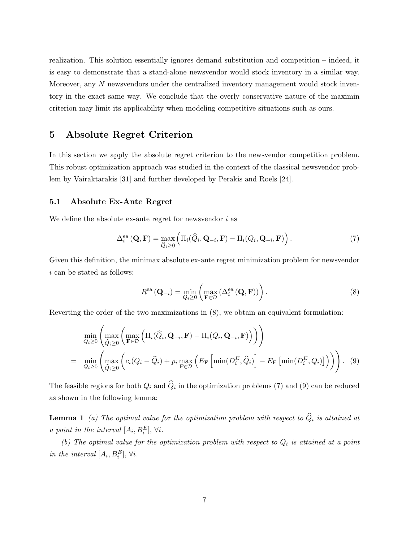realization. This solution essentially ignores demand substitution and competition – indeed, it is easy to demonstrate that a stand-alone newsvendor would stock inventory in a similar way. Moreover, any N newsvendors under the centralized inventory management would stock inventory in the exact same way. We conclude that the overly conservative nature of the maximin criterion may limit its applicability when modeling competitive situations such as ours.

# 5 Absolute Regret Criterion

In this section we apply the absolute regret criterion to the newsvendor competition problem. This robust optimization approach was studied in the context of the classical newsvendor problem by Vairaktarakis [31] and further developed by Perakis and Roels [24].

#### 5.1 Absolute Ex-Ante Regret

We define the absolute ex-ante regret for newsvendor  $i$  as

$$
\Delta_i^{\text{ea}}(\mathbf{Q}, \mathbf{F}) = \max_{\widehat{Q}_i \ge 0} \left( \Pi_i(\widehat{Q}_i, \mathbf{Q}_{-i}, \mathbf{F}) - \Pi_i(Q_i, \mathbf{Q}_{-i}, \mathbf{F}) \right).
$$
(7)

Given this definition, the minimax absolute ex-ante regret minimization problem for newsvendor i can be stated as follows:

$$
R^{\text{ea}}\left(\mathbf{Q}_{-i}\right) = \min_{Q_i \ge 0} \left( \max_{\mathbf{F} \in \mathcal{D}} \left( \Delta_i^{\text{ea}}\left(\mathbf{Q}, \mathbf{F}\right) \right) \right). \tag{8}
$$

Reverting the order of the two maximizations in (8), we obtain an equivalent formulation:

$$
\min_{Q_i \geq 0} \left( \max_{\widehat{Q}_i \geq 0} \left( \max_{\mathbf{F} \in \mathcal{D}} \left( \Pi_i(\widehat{Q}_i, \mathbf{Q}_{-i}, \mathbf{F}) - \Pi_i(Q_i, \mathbf{Q}_{-i}, \mathbf{F}) \right) \right) \right)
$$
\n
$$
= \min_{Q_i \geq 0} \left( \max_{\widehat{Q}_i \geq 0} \left( c_i(Q_i - \widehat{Q}_i) + p_i \max_{\mathbf{F} \in \mathcal{D}} \left( E_{\mathbf{F}} \left[ \min(D_i^E, \widehat{Q}_i) \right] - E_{\mathbf{F}} \left[ \min(D_i^E, Q_i) \right] \right) \right) \right). \tag{9}
$$

The feasible regions for both  $Q_i$  and  $Q_i$  in the optimization problems (7) and (9) can be reduced as shown in the following lemma:

**Lemma 1** (a) The optimal value for the optimization problem with respect to  $\hat{Q}_i$  is attained at a point in the interval  $[A_i, B_i^E], \forall i$ .

(b) The optimal value for the optimization problem with respect to  $Q_i$  is attained at a point in the interval  $[A_i, B_i^E], \forall i$ .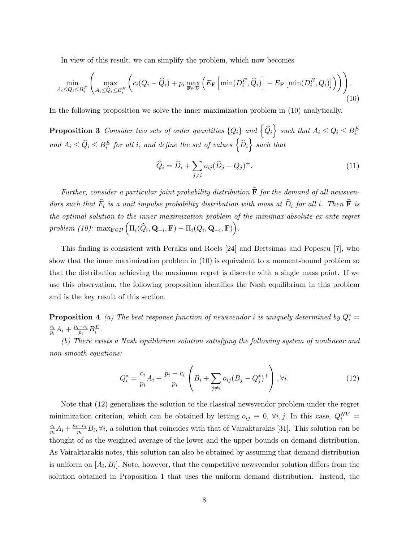In view of this result, we can simplify the problem, which now becomes

$$
\min_{A_i \le Q_i \le B_i^E} \left( \max_{A_i \le \widehat{Q}_i \le B_i^E} \left( c_i (Q_i - \widehat{Q}_i) + p_i \max_{\mathbf{F} \in \mathcal{D}} \left( E_{\mathbf{F}} \left[ \min(D_i^E, \widehat{Q}_i) \right] - E_{\mathbf{F}} \left[ \min(D_i^E, Q_i) \right] \right) \right) \right).
$$
\n(10)

In the following proposition we solve the inner maximization problem in (10) analytically.

**Proposition 3** Consider two sets of order quantities  $\{Q_i\}$  and  $\left\{\widehat{Q}_i\right\}$  such that  $A_i \leq Q_i \leq B_i^E$ and  $A_i \leq \widehat{Q}_i \leq B_i^E$  for all i, and define the set of values  $\left\{\widehat{D}_i\right\}$  such that

$$
\widehat{Q}_i = \widehat{D}_i + \sum_{j \neq i} o_{ij} (\widehat{D}_j - Q_j)^+.
$$
\n(11)

Further, consider a particular joint probability distribution  $\hat{F}$  for the demand of all newsvendors such that  $\widehat{F}_i$  is a unit impulse probability distribution with mass at  $\widehat{D}_i$  for all i. Then  $\widehat{F}$  is the optimal solution to the inner maximization problem of the minimax absolute ex-ante regret  $problem\,\,(10):\,\,\max_{\mathbf{F}\in\mathcal{D}}\Big(\Pi_{i}(\widehat{Q}_{i},\mathbf{Q}_{-i},\mathbf{F})-\Pi_{i}(Q_{i},\mathbf{Q}_{-i},\mathbf{F})\Big).$ 

This finding is consistent with Perakis and Roels [24] and Bertsimas and Popescu [7], who show that the inner maximization problem in (10) is equivalent to a moment-bound problem so that the distribution achieving the maximum regret is discrete with a single mass point. If we use this observation, the following proposition identifies the Nash equilibrium in this problem and is the key result of this section.

**Proposition 4** (a) The best response function of newsvendor i is uniquely determined by  $Q_i^* =$  $\overline{c_i}$  $\frac{c_i}{p_i}A_i + \frac{p_i - c_i}{p_i}$  $\frac{-c_i}{p_i}B_i^E$ .

(b) There exists a Nash equilibrium solution satisfying the following system of nonlinear and non-smooth equations:

$$
Q_i^* = \frac{c_i}{p_i} A_i + \frac{p_i - c_i}{p_i} \left( B_i + \sum_{j \neq i} o_{ij} (B_j - Q_j^*)^+ \right), \forall i.
$$
 (12)

Note that (12) generalizes the solution to the classical newsvendor problem under the regret minimization criterion, which can be obtained by letting  $o_{ij} \equiv 0, \forall i, j$ . In this case,  $Q_i^{NV} =$  $\frac{c_i}{c_i}$  $\frac{c_i}{p_i}A_i + \frac{p_i - c_i}{p_i}$  $\frac{-c_i}{p_i}B_i, \forall i$ , a solution that coincides with that of Vairaktarakis [31]. This solution can be thought of as the weighted average of the lower and the upper bounds on demand distribution. As Vairaktarakis notes, this solution can also be obtained by assuming that demand distribution is uniform on  $[A_i, B_i]$ . Note, however, that the competitive newsvendor solution differs from the solution obtained in Proposition 1 that uses the uniform demand distribution. Instead, the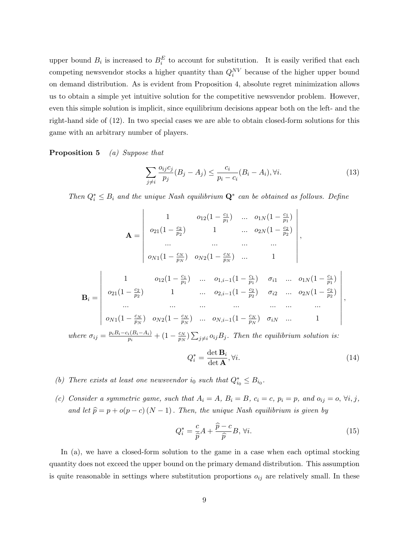upper bound  $B_i$  is increased to  $B_i^E$  to account for substitution. It is easily verified that each competing newsvendor stocks a higher quantity than  $Q_i^{NV}$  because of the higher upper bound on demand distribution. As is evident from Proposition 4, absolute regret minimization allows us to obtain a simple yet intuitive solution for the competitive newsvendor problem. However, even this simple solution is implicit, since equilibrium decisions appear both on the left- and the right-hand side of (12). In two special cases we are able to obtain closed-form solutions for this game with an arbitrary number of players.

Proposition 5 (a) Suppose that

$$
\sum_{j \neq i} \frac{o_{ij}c_j}{p_j}(B_j - A_j) \le \frac{c_i}{p_i - c_i}(B_i - A_i), \forall i.
$$
\n(13)

Then  $Q_i^* \leq B_i$  and the unique Nash equilibrium  $\mathbf{Q}^*$  can be obtained as follows. Define

$$
\mathbf{A} = \begin{vmatrix}\n1 & o_{12}(1 - \frac{c_1}{p_1}) & \cdots & o_{1N}(1 - \frac{c_1}{p_1}) \\
o_{21}(1 - \frac{c_2}{p_2}) & 1 & \cdots & o_{2N}(1 - \frac{c_2}{p_2}) \\
\cdots & \cdots & \cdots & \cdots \\
o_{N1}(1 - \frac{c_N}{p_N}) & o_{N2}(1 - \frac{c_N}{p_N}) & \cdots & 1\n\end{vmatrix},
$$
\n
$$
\mathbf{B}_i = \begin{vmatrix}\n1 & o_{12}(1 - \frac{c_1}{p_1}) & \cdots & o_{1,i-1}(1 - \frac{c_1}{p_1}) & \sigma_{i1} & \cdots & o_{1N}(1 - \frac{c_1}{p_1}) \\
o_{21}(1 - \frac{c_2}{p_2}) & 1 & \cdots & o_{2,i-1}(1 - \frac{c_2}{p_2}) & \sigma_{i2} & \cdots & o_{2N}(1 - \frac{c_2}{p_2}) \\
\cdots & \cdots & \cdots & \cdots & \cdots & \cdots \\
o_{N1}(1 - \frac{c_N}{p_N}) & o_{N2}(1 - \frac{c_N}{p_N}) & \cdots & o_{N,i-1}(1 - \frac{c_N}{p_N}) & \sigma_{iN} & \cdots & 1\n\end{vmatrix},
$$
\nwhere  $\sigma_{ij} = \frac{p_i B_i - c_i (B_i - A_i)}{p_i} + (1 - \frac{c_N}{p_N}) \sum_{j \neq i} o_{ij} B_j$ . Then the equilibrium solution is:

$$
Q_i^* = \frac{\det \mathbf{B}_i}{\det \mathbf{A}}, \forall i.
$$
 (14)

- (b) There exists at least one newsvendor i<sub>0</sub> such that  $Q_{i_0}^* \leq B_{i_0}$ .
- (c) Consider a symmetric game, such that  $A_i = A$ ,  $B_i = B$ ,  $c_i = c$ ,  $p_i = p$ , and  $o_{ij} = o$ ,  $\forall i, j$ , and let  $\hat{p} = p + o(p - c) (N - 1)$ . Then, the unique Nash equilibrium is given by

$$
Q_i^* = \frac{c}{\hat{p}}A + \frac{\hat{p} - c}{\hat{p}}B, \forall i.
$$
\n(15)

In (a), we have a closed-form solution to the game in a case when each optimal stocking quantity does not exceed the upper bound on the primary demand distribution. This assumption is quite reasonable in settings where substitution proportions  $o_{ij}$  are relatively small. In these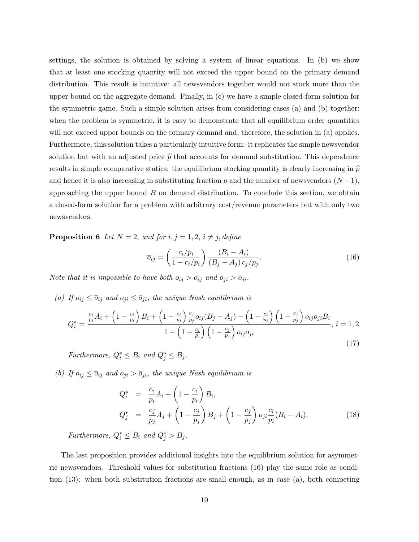settings, the solution is obtained by solving a system of linear equations. In (b) we show that at least one stocking quantity will not exceed the upper bound on the primary demand distribution. This result is intuitive: all newsvendors together would not stock more than the upper bound on the aggregate demand. Finally, in (c) we have a simple closed-form solution for the symmetric game. Such a simple solution arises from considering cases (a) and (b) together: when the problem is symmetric, it is easy to demonstrate that all equilibrium order quantities will not exceed upper bounds on the primary demand and, therefore, the solution in (a) applies. Furthermore, this solution takes a particularly intuitive form: it replicates the simple newsvendor solution but with an adjusted price  $\hat{p}$  that accounts for demand substitution. This dependence results in simple comparative statics: the equilibrium stocking quantity is clearly increasing in  $\hat{p}$ and hence it is also increasing in substituting fraction  $o$  and the number of newsvendors  $(N-1)$ , approaching the upper bound  $B$  on demand distribution. To conclude this section, we obtain a closed-form solution for a problem with arbitrary cost/revenue parameters but with only two newsvendors.

**Proposition 6** Let  $N = 2$ , and for  $i, j = 1, 2, i \neq j$ , define

$$
\overline{o}_{ij} = \left(\frac{c_i/p_i}{1 - c_i/p_i}\right) \frac{(B_i - A_i)}{(B_j - A_j) c_j/p_j}.
$$
\n(16)

Note that it is impossible to have both  $o_{ij} > \overline{o}_{ij}$  and  $o_{ji} > \overline{o}_{ji}$ .

(a) If  $o_{ij} \leq \overline{o}_{ij}$  and  $o_{ji} \leq \overline{o}_{ji}$ , the unique Nash equilibrium is

$$
Q_i^* = \frac{\frac{c_i}{p_i}A_i + \left(1 - \frac{c_i}{p_i}\right)B_i + \left(1 - \frac{c_i}{p_i}\right)\frac{c_j}{p_j}o_{ij}(B_j - A_j) - \left(1 - \frac{c_i}{p_i}\right)\left(1 - \frac{c_j}{p_j}\right)o_{ij}o_{ji}B_i}{1 - \left(1 - \frac{c_i}{p_i}\right)\left(1 - \frac{c_j}{p_j}\right)o_{ij}o_{ji}}, \ i = 1, 2.
$$
\n(17)

Furthermore,  $Q_i^* \leq B_i$  and  $Q_j^* \leq B_j$ .

(b) If  $o_{ij} \leq \overline{o}_{ij}$  and  $o_{ji} > \overline{o}_{ji}$ , the unique Nash equilibrium is

$$
Q_i^* = \frac{c_i}{p_i} A_i + \left(1 - \frac{c_i}{p_i}\right) B_i,
$$
  
\n
$$
Q_j^* = \frac{c_j}{p_j} A_j + \left(1 - \frac{c_j}{p_j}\right) B_j + \left(1 - \frac{c_j}{p_j}\right) o_{ji} \frac{c_i}{p_i} (B_i - A_i).
$$
\n(18)

Furthermore,  $Q_i^* \leq B_i$  and  $Q_j^* > B_j$ .

The last proposition provides additional insights into the equilibrium solution for asymmetric newsvendors. Threshold values for substitution fractions (16) play the same role as condition (13): when both substitution fractions are small enough, as in case (a), both competing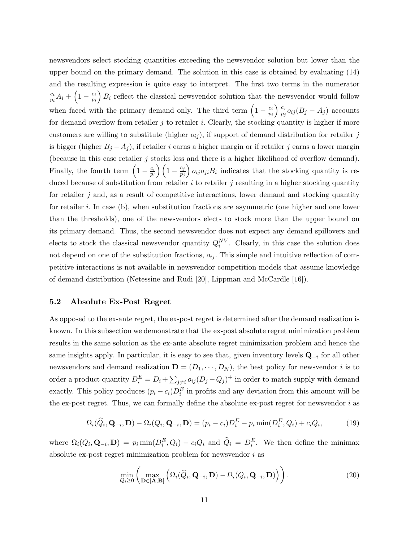newsvendors select stocking quantities exceeding the newsvendor solution but lower than the upper bound on the primary demand. The solution in this case is obtained by evaluating (14) and the resulting expression is quite easy to interpret. The first two terms in the numerator  $\overline{c_i}$  $\frac{c_i}{p_i}A_i + \left(1-\frac{c_i}{p_i}\right)$  $\overline{p_i}$  $B_i$  reflect the classical newsvendor solution that the newsvendor would follow when faced with the primary demand only. The third term  $\left(1 - \frac{c_i}{n}\right)$ pi  $\sum_{i=1}^{n}$  $\frac{c_j}{p_j}o_{ij}(B_j-A_j)$  accounts for demand overflow from retailer  $j$  to retailer  $i$ . Clearly, the stocking quantity is higher if more customers are willing to substitute (higher  $o_{ij}$ ), if support of demand distribution for retailer j is bigger (higher  $B_j - A_j$ ), if retailer i earns a higher margin or if retailer j earns a lower margin (because in this case retailer  $j$  stocks less and there is a higher likelihood of overflow demand). Finally, the fourth term  $\left(1 - \frac{c_i}{n}\right)$  $\left(\frac{c_i}{p_i}\right)\left(1-\frac{c_j}{p_j}\right)$  $p_j$  $\partial_{0i}$  o<sub>ij</sub> $O_{ji}B_i$  indicates that the stocking quantity is reduced because of substitution from retailer  $i$  to retailer  $j$  resulting in a higher stocking quantity for retailer  $i$  and, as a result of competitive interactions, lower demand and stocking quantity for retailer i. In case (b), when substitution fractions are asymmetric (one higher and one lower than the thresholds), one of the newsvendors elects to stock more than the upper bound on its primary demand. Thus, the second newsvendor does not expect any demand spillovers and elects to stock the classical newsvendor quantity  $Q_i^{NV}$ . Clearly, in this case the solution does not depend on one of the substitution fractions,  $o_{ij}$ . This simple and intuitive reflection of competitive interactions is not available in newsvendor competition models that assume knowledge of demand distribution (Netessine and Rudi [20], Lippman and McCardle [16]).

#### 5.2 Absolute Ex-Post Regret

As opposed to the ex-ante regret, the ex-post regret is determined after the demand realization is known. In this subsection we demonstrate that the ex-post absolute regret minimization problem results in the same solution as the ex-ante absolute regret minimization problem and hence the same insights apply. In particular, it is easy to see that, given inventory levels  $\mathbf{Q}_{-i}$  for all other newsvendors and demand realization  $\mathbf{D} = (D_1, \dots, D_N)$ , the best policy for newsvendor i is to order a product quantity  $D_i^E = D_i + \sum_{j \neq i} o_{ij} (D_j - Q_j)^+$  in order to match supply with demand exactly. This policy produces  $(p_i - c_i)D_i^E$  in profits and any deviation from this amount will be the ex-post regret. Thus, we can formally define the absolute ex-post regret for newsvendor  $i$  as

$$
\Omega_i(\widehat{Q}_i, \mathbf{Q}_{-i}, \mathbf{D}) - \Omega_i(Q_i, \mathbf{Q}_{-i}, \mathbf{D}) = (p_i - c_i)D_i^E - p_i \min(D_i^E, Q_i) + c_i Q_i,
$$
\n(19)

where  $\Omega_i(Q_i, \mathbf{Q}_{-i}, \mathbf{D}) = p_i \min(D_i^E, Q_i) - c_i Q_i$  and  $\hat{Q}_i = D_i^E$ . We then define the minimax absolute ex-post regret minimization problem for newsvendor i as

$$
\min_{Q_i \geq 0} \left( \max_{\mathbf{D} \in [\mathbf{A}, \mathbf{B}]} \left( \Omega_i(\widehat{Q}_i, \mathbf{Q}_{-i}, \mathbf{D}) - \Omega_i(Q_i, \mathbf{Q}_{-i}, \mathbf{D}) \right) \right).
$$
\n(20)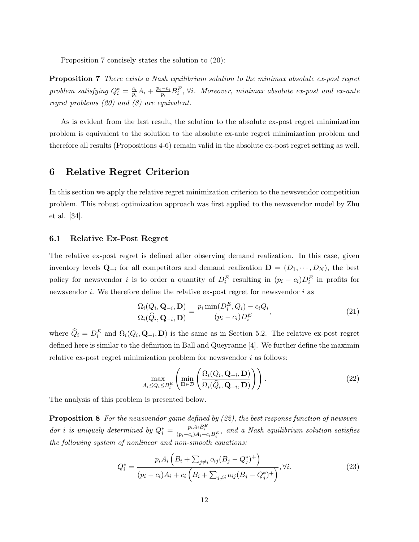Proposition 7 concisely states the solution to (20):

**Proposition 7** There exists a Nash equilibrium solution to the minimax absolute ex-post regret problem satisfying  $Q_i^* = \frac{c_i}{p_i}$  $\frac{c_i}{p_i}A_i + \frac{p_i - c_i}{p_i}$  $\frac{-c_i}{p_i}B_i^E$ ,  $\forall i$ . Moreover, minimax absolute ex-post and ex-ante regret problems (20) and (8) are equivalent.

As is evident from the last result, the solution to the absolute ex-post regret minimization problem is equivalent to the solution to the absolute ex-ante regret minimization problem and therefore all results (Propositions 4-6) remain valid in the absolute ex-post regret setting as well.

# 6 Relative Regret Criterion

In this section we apply the relative regret minimization criterion to the newsvendor competition problem. This robust optimization approach was first applied to the newsvendor model by Zhu et al. [34].

#### 6.1 Relative Ex-Post Regret

The relative ex-post regret is defined after observing demand realization. In this case, given inventory levels  $\mathbf{Q}_{-i}$  for all competitors and demand realization  $\mathbf{D} = (D_1, \dots, D_N)$ , the best policy for newsvendor i is to order a quantity of  $D_i^E$  resulting in  $(p_i - c_i)D_i^E$  in profits for newsvendor  $i$ . We therefore define the relative ex-post regret for newsvendor  $i$  as

$$
\frac{\Omega_i(Q_i, \mathbf{Q}_{-i}, \mathbf{D})}{\Omega_i(\widehat{Q}_i, \mathbf{Q}_{-i}, \mathbf{D})} = \frac{p_i \min(D_i^E, Q_i) - c_i Q_i}{(p_i - c_i) D_i^E},
$$
\n(21)

where  $\hat{Q}_i = D_i^E$  and  $\Omega_i(Q_i, \mathbf{Q}_{-i}, \mathbf{D})$  is the same as in Section 5.2. The relative ex-post regret defined here is similar to the definition in Ball and Queyranne [4]. We further define the maximin relative ex-post regret minimization problem for newsvendor  $i$  as follows:

$$
\max_{A_i \le Q_i \le B_i^E} \left( \min_{\mathbf{D} \in \mathcal{D}} \left( \frac{\Omega_i(Q_i, \mathbf{Q}_{-i}, \mathbf{D})}{\Omega_i(\widehat{Q}_i, \mathbf{Q}_{-i}, \mathbf{D})} \right) \right).
$$
(22)

The analysis of this problem is presented below.

**Proposition 8** For the newsvendor game defined by  $(22)$ , the best response function of newsvendor i is uniquely determined by  $Q_i^* = \frac{p_i A_i B_i^E}{(p_i - c_i) A_i + c_i B_i^E}$ , and a Nash equilibrium solution satisfies the following system of nonlinear and non-smooth equations:

$$
Q_i^* = \frac{p_i A_i \left( B_i + \sum_{j \neq i} o_{ij} (B_j - Q_j^*)^+ \right)}{(p_i - c_i) A_i + c_i \left( B_i + \sum_{j \neq i} o_{ij} (B_j - Q_j^*)^+ \right)}, \forall i.
$$
 (23)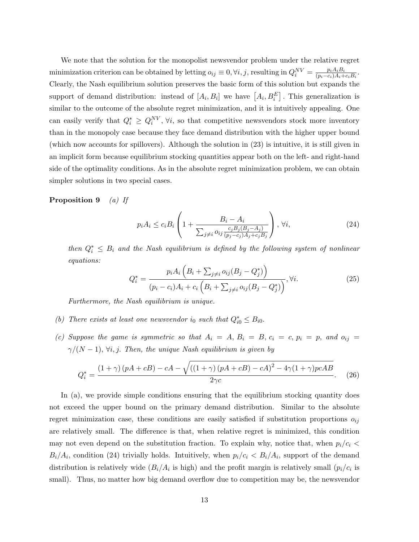We note that the solution for the monopolist newsvendor problem under the relative regret minimization criterion can be obtained by letting  $o_{ij} \equiv 0, \forall i, j$ , resulting in  $Q_i^{NV} = \frac{p_i A_i B_i}{(p_i - c_i) A_i +}$  $\frac{p_iA_iB_i}{(p_i-c_i)A_i+c_iB_i}$ . Clearly, the Nash equilibrium solution preserves the basic form of this solution but expands the support of demand distribution: instead of  $[A_i, B_i]$  we have  $[A_i, B_i^E]$ . This generalization is similar to the outcome of the absolute regret minimization, and it is intuitively appealing. One can easily verify that  $Q_i^* \geq Q_i^{NV}, \forall i$ , so that competitive newsvendors stock more inventory than in the monopoly case because they face demand distribution with the higher upper bound (which now accounts for spillovers). Although the solution in (23) is intuitive, it is still given in an implicit form because equilibrium stocking quantities appear both on the left- and right-hand side of the optimality conditions. As in the absolute regret minimization problem, we can obtain simpler solutions in two special cases.

# **Proposition 9** (a) If

$$
p_i A_i \le c_i B_i \left( 1 + \frac{B_i - A_i}{\sum_{j \neq i} o_{ij} \frac{c_j B_j (B_j - A_j)}{(p_j - c_j) A_j + c_j B_j}} \right), \forall i,
$$
\n(24)

then  $Q_i^* \leq B_i$  and the Nash equilibrium is defined by the following system of nonlinear equations:

$$
Q_i^* = \frac{p_i A_i \left( B_i + \sum_{j \neq i} o_{ij} (B_j - Q_j^*) \right)}{(p_i - c_i) A_i + c_i \left( B_i + \sum_{j \neq i} o_{ij} (B_j - Q_j^*) \right)}, \forall i.
$$
 (25)

Furthermore, the Nash equilibrium is unique.

- (b) There exists at least one newsvendor i<sub>0</sub> such that  $Q_{i0}^* \leq B_{i0}$ .
- (c) Suppose the game is symmetric so that  $A_i = A, B_i = B, c_i = c, p_i = p,$  and  $o_{ij} =$  $\gamma/(N-1)$ ,  $\forall i, j$ . Then, the unique Nash equilibrium is given by

$$
Q_i^* = \frac{(1+\gamma)(pA+cB) - cA - \sqrt{((1+\gamma)(pA+cB) - cA)^2 - 4\gamma(1+\gamma)pcAB}}{2\gamma c}.
$$
 (26)

In (a), we provide simple conditions ensuring that the equilibrium stocking quantity does not exceed the upper bound on the primary demand distribution. Similar to the absolute regret minimization case, these conditions are easily satisfied if substitution proportions  $o_{ij}$ are relatively small. The difference is that, when relative regret is minimized, this condition may not even depend on the substitution fraction. To explain why, notice that, when  $p_i/c_i$  <  $B_i/A_i$ , condition (24) trivially holds. Intuitively, when  $p_i/c_i < B_i/A_i$ , support of the demand distribution is relatively wide  $(B_i/A_i)$  is high) and the profit margin is relatively small  $(p_i/c_i)$  is small). Thus, no matter how big demand overflow due to competition may be, the newsvendor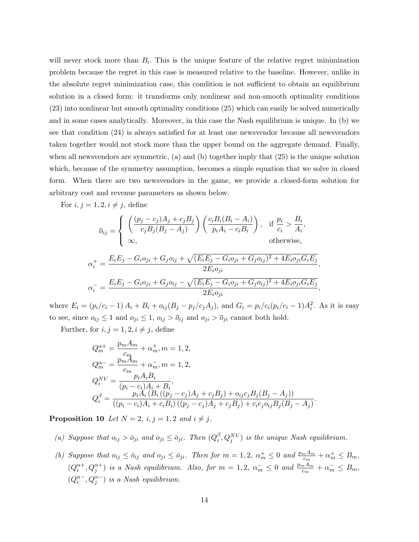will never stock more than  $B_i$ . This is the unique feature of the relative regret minimization problem because the regret in this case is measured relative to the baseline. However, unlike in the absolute regret minimization case, this condition is not sufficient to obtain an equilibrium solution in a closed form: it transforms only nonlinear and non-smooth optimality conditions (23) into nonlinear but smooth optimality conditions (25) which can easily be solved numerically and in some cases analytically. Moreover, in this case the Nash equilibrium is unique. In (b) we see that condition (24) is always satisfied for at least one newsvendor because all newsvendors taken together would not stock more than the upper bound on the aggregate demand. Finally, when all newsvendors are symmetric, (a) and (b) together imply that (25) is the unique solution which, because of the symmetry assumption, becomes a simple equation that we solve in closed form. When there are two newsvendors in the game, we provide a closed-form solution for arbitrary cost and revenue parameters as shown below.

For  $i, j = 1, 2, i \neq j$ , define

$$
\overline{o}_{ij} = \begin{cases}\n\left(\frac{(p_j - c_j)A_j + c_jB_j}{c_jB_j(B_j - A_j)}\right)\left(\frac{c_iB_i(B_i - A_i)}{p_iA_i - c_iB_i}\right), & \text{if } \frac{p_i}{c_i} > \frac{B_i}{A_i}, \\
\infty, & \text{otherwise},\n\end{cases}
$$
\n
$$
\alpha_i^+ = \frac{E_iE_j - G_i o_{ji} + G_j o_{ij} + \sqrt{(E_iE_j - G_i o_{ji} + G_j o_{ij})^2 + 4E_i o_{ji} G_i E_j}}{2E_i o_{ji}},
$$
\n
$$
\alpha_i^- = \frac{E_iE_j - G_i o_{ji} + G_j o_{ij} - \sqrt{(E_iE_j - G_i o_{ji} + G_j o_{ij})^2 + 4E_i o_{ji} G_i E_j}}{2E_i o_{ji}},
$$

where  $E_i = (p_i/c_i - 1) A_i + B_i + o_{ij}(B_j - p_j/c_j A_j)$ , and  $G_i = p_i/c_i(p_i/c_i - 1)A_i^2$ . As it is easy to see, since  $o_{ij} \leq 1$  and  $o_{ji} \leq 1$ ,  $o_{ij} > \overline{o}_{ij}$  and  $o_{ji} > \overline{o}_{ji}$  cannot both hold.

Further, for  $i, j = 1, 2, i \neq j$ , define

$$
Q_m^{\alpha+} = \frac{p_m A_m}{c_m} + \alpha_m^+, m = 1, 2,
$$
  
\n
$$
Q_m^{\alpha-} = \frac{p_m A_m}{c_m} + \alpha_m^-, m = 1, 2,
$$
  
\n
$$
Q_i^{NV} = \frac{p_i A_i B_i}{(p_i - c_i) A_i + B_i},
$$
  
\n
$$
Q_i^{\beta} = \frac{p_i A_i (B_i ((p_j - c_j) A_j + c_j B_j) + o_{ij} c_j B_j (B_j - A_j))}{((p_i - c_i) A_i + c_i B_i) ((p_j - c_j) A_j + c_j B_j) + c_i c_j o_{ij} B_j (B_j - A_j)}.
$$

**Proposition 10** Let  $N = 2$ ,  $i, j = 1, 2$  and  $i \neq j$ .

- (a) Suppose that  $o_{ij} > \bar{o}_{ji}$  and  $o_{ji} \leq \bar{o}_{ji}$ . Then  $(Q_i^{\beta})$  $\hat{p}_{i}^{B}, Q_{j}^{NV}$  is the unique Nash equilibrium.
- (b) Suppose that  $o_{ij} \le \bar{o}_{ij}$  and  $o_{ji} \le \bar{o}_{ji}$ . Then for  $m = 1, 2, \alpha_m^+ \le 0$  and  $\frac{p_m A_m}{c_m} + \alpha_m^+ \le B_m$ ,  $(Q_i^{\alpha+}, Q_j^{\alpha+})$  is a Nash equilibrium. Also, for  $m = 1, 2, \alpha_m^- \leq 0$  and  $\frac{p_m A_m}{c_m} + \alpha_m^- \leq B_m$ ,  $(Q_i^{\alpha-}, Q_j^{\alpha-})$  is a Nash equilibrium.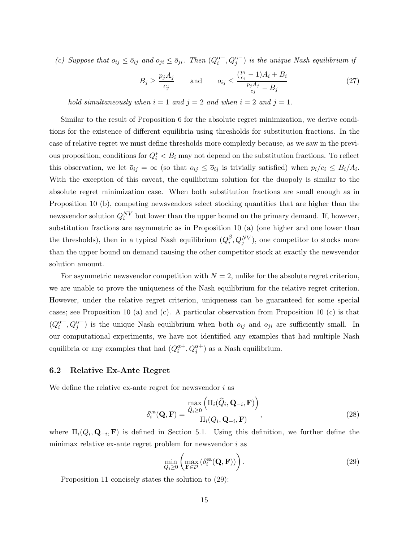(c) Suppose that  $o_{ij} \le \bar{o}_{ij}$  and  $o_{ji} \le \bar{o}_{ji}$ . Then  $(Q_i^{\alpha-}, Q_j^{\alpha-})$  is the unique Nash equilibrium if

$$
B_j \ge \frac{p_j A_j}{c_j} \quad \text{and} \quad o_{ij} \le \frac{\left(\frac{p_i}{c_i} - 1\right)A_i + B_i}{\frac{p_j A_j}{c_j} - B_j} \tag{27}
$$

hold simultaneously when  $i = 1$  and  $j = 2$  and when  $i = 2$  and  $j = 1$ .

Similar to the result of Proposition 6 for the absolute regret minimization, we derive conditions for the existence of different equilibria using thresholds for substitution fractions. In the case of relative regret we must define thresholds more complexly because, as we saw in the previous proposition, conditions for  $Q_i^* < B_i$  may not depend on the substitution fractions. To reflect this observation, we let  $\overline{o}_{ij} = \infty$  (so that  $o_{ij} \le \overline{o}_{ij}$  is trivially satisfied) when  $p_i/c_i \le B_i/A_i$ . With the exception of this caveat, the equilibrium solution for the duopoly is similar to the absolute regret minimization case. When both substitution fractions are small enough as in Proposition 10 (b), competing newsvendors select stocking quantities that are higher than the newsvendor solution  $Q_i^{NV}$  but lower than the upper bound on the primary demand. If, however, substitution fractions are asymmetric as in Proposition 10 (a) (one higher and one lower than the thresholds), then in a typical Nash equilibrium  $(Q_i^{\beta})$  $\beta_i^{\beta}, Q_j^{NV}$ ), one competitor to stocks more than the upper bound on demand causing the other competitor stock at exactly the newsvendor solution amount.

For asymmetric newsvendor competition with  $N = 2$ , unlike for the absolute regret criterion, we are unable to prove the uniqueness of the Nash equilibrium for the relative regret criterion. However, under the relative regret criterion, uniqueness can be guaranteed for some special cases; see Proposition 10 (a) and (c). A particular observation from Proposition 10 (c) is that  $(Q_i^{\alpha-}, Q_j^{\alpha-})$  is the unique Nash equilibrium when both  $o_{ij}$  and  $o_{ji}$  are sufficiently small. In our computational experiments, we have not identified any examples that had multiple Nash equilibria or any examples that had  $(Q_i^{\alpha+}, Q_j^{\alpha+})$  as a Nash equilibrium.

### 6.2 Relative Ex-Ante Regret

We define the relative ex-ante regret for newsvendor  $i$  as

$$
\delta_i^{\text{ea}}(\mathbf{Q}, \mathbf{F}) = \frac{\max\limits_{\hat{Q}_i \ge 0} \left( \Pi_i(\hat{Q}_i, \mathbf{Q}_{-i}, \mathbf{F}) \right)}{\Pi_i(Q_i, \mathbf{Q}_{-i}, \mathbf{F})},
$$
\n(28)

where  $\Pi_i(Q_i, \mathbf{Q}_{-i}, \mathbf{F})$  is defined in Section 5.1. Using this definition, we further define the minimax relative ex-ante regret problem for newsvendor  $i$  as

$$
\min_{Q_i \ge 0} \left( \max_{\mathbf{F} \in \mathcal{D}} \left( \delta_i^{\text{ea}}(\mathbf{Q}, \mathbf{F}) \right) \right). \tag{29}
$$

Proposition 11 concisely states the solution to (29):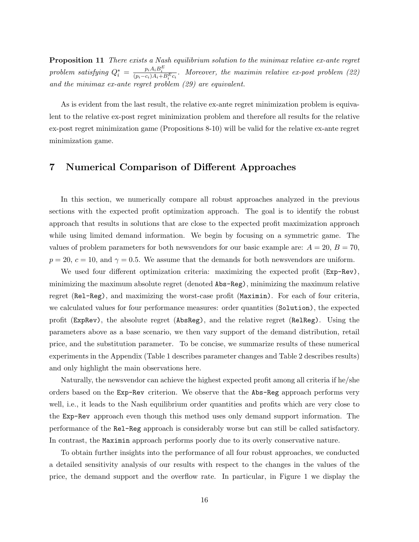**Proposition 11** There exists a Nash equilibrium solution to the minimax relative ex-ante regret problem satisfying  $Q_i^* = \frac{p_i A_i B_i^E}{(p_i - c_i) A_i + B_i^E c_i}$ . Moreover, the maximin relative ex-post problem (22) and the minimax ex-ante regret problem (29) are equivalent.

As is evident from the last result, the relative ex-ante regret minimization problem is equivalent to the relative ex-post regret minimization problem and therefore all results for the relative ex-post regret minimization game (Propositions 8-10) will be valid for the relative ex-ante regret minimization game.

# 7 Numerical Comparison of Different Approaches

In this section, we numerically compare all robust approaches analyzed in the previous sections with the expected profit optimization approach. The goal is to identify the robust approach that results in solutions that are close to the expected profit maximization approach while using limited demand information. We begin by focusing on a symmetric game. The values of problem parameters for both newsvendors for our basic example are:  $A = 20, B = 70,$  $p = 20, c = 10, \text{ and } \gamma = 0.5.$  We assume that the demands for both newsvendors are uniform.

We used four different optimization criteria: maximizing the expected profit (Exp-Rev), minimizing the maximum absolute regret (denoted Abs-Reg), minimizing the maximum relative regret (Rel-Reg), and maximizing the worst-case profit (Maximin). For each of four criteria, we calculated values for four performance measures: order quantities (Solution), the expected profit (ExpRev), the absolute regret (AbsReg), and the relative regret (RelReg). Using the parameters above as a base scenario, we then vary support of the demand distribution, retail price, and the substitution parameter. To be concise, we summarize results of these numerical experiments in the Appendix (Table 1 describes parameter changes and Table 2 describes results) and only highlight the main observations here.

Naturally, the newsvendor can achieve the highest expected profit among all criteria if he/she orders based on the Exp-Rev criterion. We observe that the Abs-Reg approach performs very well, i.e., it leads to the Nash equilibrium order quantities and profits which are very close to the Exp-Rev approach even though this method uses only demand support information. The performance of the Rel-Reg approach is considerably worse but can still be called satisfactory. In contrast, the Maximin approach performs poorly due to its overly conservative nature.

To obtain further insights into the performance of all four robust approaches, we conducted a detailed sensitivity analysis of our results with respect to the changes in the values of the price, the demand support and the overflow rate. In particular, in Figure 1 we display the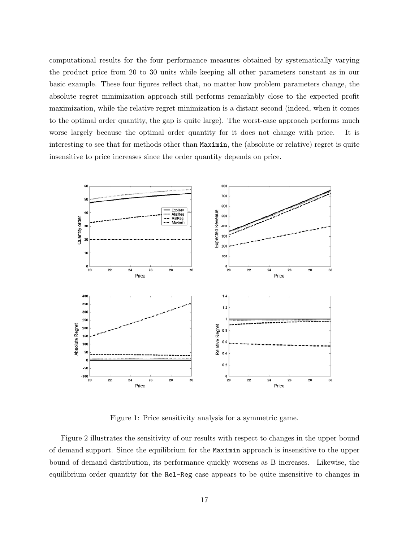computational results for the four performance measures obtained by systematically varying the product price from 20 to 30 units while keeping all other parameters constant as in our basic example. These four figures reflect that, no matter how problem parameters change, the absolute regret minimization approach still performs remarkably close to the expected profit maximization, while the relative regret minimization is a distant second (indeed, when it comes to the optimal order quantity, the gap is quite large). The worst-case approach performs much worse largely because the optimal order quantity for it does not change with price. It is interesting to see that for methods other than Maximin, the (absolute or relative) regret is quite insensitive to price increases since the order quantity depends on price.



Figure 1: Price sensitivity analysis for a symmetric game.

Figure 2 illustrates the sensitivity of our results with respect to changes in the upper bound of demand support. Since the equilibrium for the Maximin approach is insensitive to the upper bound of demand distribution, its performance quickly worsens as B increases. Likewise, the equilibrium order quantity for the Rel-Reg case appears to be quite insensitive to changes in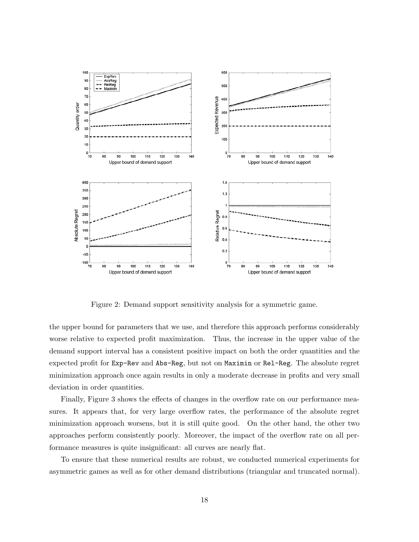

Figure 2: Demand support sensitivity analysis for a symmetric game.

the upper bound for parameters that we use, and therefore this approach performs considerably worse relative to expected profit maximization. Thus, the increase in the upper value of the demand support interval has a consistent positive impact on both the order quantities and the expected profit for Exp-Rev and Abs-Reg, but not on Maximin or Rel-Reg. The absolute regret minimization approach once again results in only a moderate decrease in profits and very small deviation in order quantities.

Finally, Figure 3 shows the effects of changes in the overflow rate on our performance measures. It appears that, for very large overflow rates, the performance of the absolute regret minimization approach worsens, but it is still quite good. On the other hand, the other two approaches perform consistently poorly. Moreover, the impact of the overflow rate on all performance measures is quite insignificant: all curves are nearly flat.

To ensure that these numerical results are robust, we conducted numerical experiments for asymmetric games as well as for other demand distributions (triangular and truncated normal).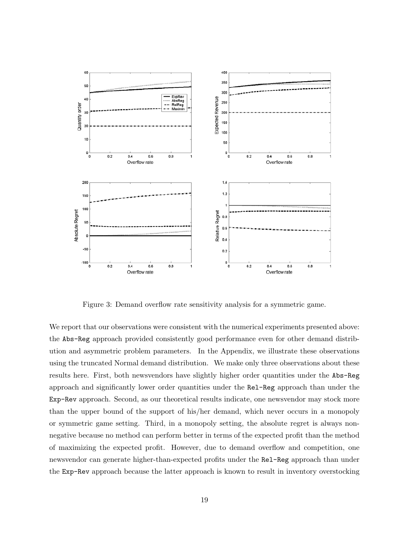

Figure 3: Demand overflow rate sensitivity analysis for a symmetric game.

We report that our observations were consistent with the numerical experiments presented above: the Abs-Reg approach provided consistently good performance even for other demand distribution and asymmetric problem parameters. In the Appendix, we illustrate these observations using the truncated Normal demand distribution. We make only three observations about these results here. First, both newsvendors have slightly higher order quantities under the Abs-Reg approach and significantly lower order quantities under the Rel-Reg approach than under the Exp-Rev approach. Second, as our theoretical results indicate, one newsvendor may stock more than the upper bound of the support of his/her demand, which never occurs in a monopoly or symmetric game setting. Third, in a monopoly setting, the absolute regret is always nonnegative because no method can perform better in terms of the expected profit than the method of maximizing the expected profit. However, due to demand overflow and competition, one newsvendor can generate higher-than-expected profits under the Rel-Reg approach than under the Exp-Rev approach because the latter approach is known to result in inventory overstocking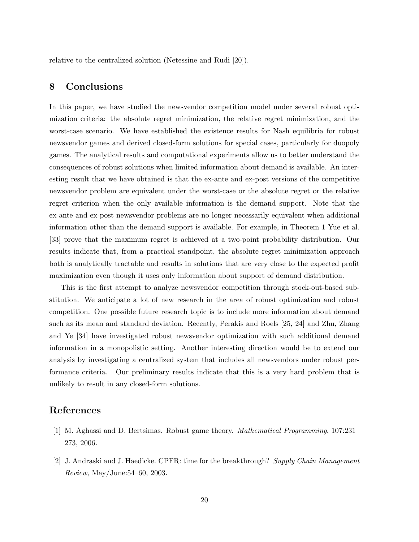relative to the centralized solution (Netessine and Rudi [20]).

# 8 Conclusions

In this paper, we have studied the newsvendor competition model under several robust optimization criteria: the absolute regret minimization, the relative regret minimization, and the worst-case scenario. We have established the existence results for Nash equilibria for robust newsvendor games and derived closed-form solutions for special cases, particularly for duopoly games. The analytical results and computational experiments allow us to better understand the consequences of robust solutions when limited information about demand is available. An interesting result that we have obtained is that the ex-ante and ex-post versions of the competitive newsvendor problem are equivalent under the worst-case or the absolute regret or the relative regret criterion when the only available information is the demand support. Note that the ex-ante and ex-post newsvendor problems are no longer necessarily equivalent when additional information other than the demand support is available. For example, in Theorem 1 Yue et al. [33] prove that the maximum regret is achieved at a two-point probability distribution. Our results indicate that, from a practical standpoint, the absolute regret minimization approach both is analytically tractable and results in solutions that are very close to the expected profit maximization even though it uses only information about support of demand distribution.

This is the first attempt to analyze newsvendor competition through stock-out-based substitution. We anticipate a lot of new research in the area of robust optimization and robust competition. One possible future research topic is to include more information about demand such as its mean and standard deviation. Recently, Perakis and Roels [25, 24] and Zhu, Zhang and Ye [34] have investigated robust newsvendor optimization with such additional demand information in a monopolistic setting. Another interesting direction would be to extend our analysis by investigating a centralized system that includes all newsvendors under robust performance criteria. Our preliminary results indicate that this is a very hard problem that is unlikely to result in any closed-form solutions.

# References

- [1] M. Aghassi and D. Bertsimas. Robust game theory. Mathematical Programming, 107:231– 273, 2006.
- [2] J. Andraski and J. Haedicke. CPFR: time for the breakthrough? Supply Chain Management Review, May/June:54–60, 2003.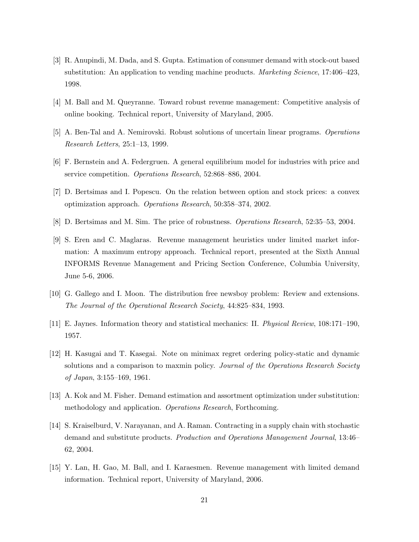- [3] R. Anupindi, M. Dada, and S. Gupta. Estimation of consumer demand with stock-out based substitution: An application to vending machine products. *Marketing Science*, 17:406–423, 1998.
- [4] M. Ball and M. Queyranne. Toward robust revenue management: Competitive analysis of online booking. Technical report, University of Maryland, 2005.
- [5] A. Ben-Tal and A. Nemirovski. Robust solutions of uncertain linear programs. Operations Research Letters, 25:1–13, 1999.
- [6] F. Bernstein and A. Federgruen. A general equilibrium model for industries with price and service competition. Operations Research, 52:868–886, 2004.
- [7] D. Bertsimas and I. Popescu. On the relation between option and stock prices: a convex optimization approach. Operations Research, 50:358–374, 2002.
- [8] D. Bertsimas and M. Sim. The price of robustness. Operations Research, 52:35–53, 2004.
- [9] S. Eren and C. Maglaras. Revenue management heuristics under limited market information: A maximum entropy approach. Technical report, presented at the Sixth Annual INFORMS Revenue Management and Pricing Section Conference, Columbia University, June 5-6, 2006.
- [10] G. Gallego and I. Moon. The distribution free newsboy problem: Review and extensions. The Journal of the Operational Research Society, 44:825–834, 1993.
- [11] E. Jaynes. Information theory and statistical mechanics: II. Physical Review, 108:171–190, 1957.
- [12] H. Kasugai and T. Kasegai. Note on minimax regret ordering policy-static and dynamic solutions and a comparison to maxmin policy. Journal of the Operations Research Society of Japan, 3:155–169, 1961.
- [13] A. Kok and M. Fisher. Demand estimation and assortment optimization under substitution: methodology and application. Operations Research, Forthcoming.
- [14] S. Kraiselburd, V. Narayanan, and A. Raman. Contracting in a supply chain with stochastic demand and substitute products. Production and Operations Management Journal, 13:46– 62, 2004.
- [15] Y. Lan, H. Gao, M. Ball, and I. Karaesmen. Revenue management with limited demand information. Technical report, University of Maryland, 2006.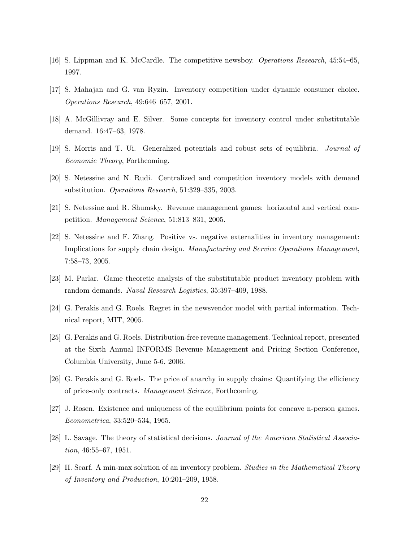- [16] S. Lippman and K. McCardle. The competitive newsboy. Operations Research, 45:54–65, 1997.
- [17] S. Mahajan and G. van Ryzin. Inventory competition under dynamic consumer choice. Operations Research, 49:646–657, 2001.
- [18] A. McGillivray and E. Silver. Some concepts for inventory control under substitutable demand. 16:47–63, 1978.
- [19] S. Morris and T. Ui. Generalized potentials and robust sets of equilibria. Journal of Economic Theory, Forthcoming.
- [20] S. Netessine and N. Rudi. Centralized and competition inventory models with demand substitution. Operations Research, 51:329–335, 2003.
- [21] S. Netessine and R. Shumsky. Revenue management games: horizontal and vertical competition. Management Science, 51:813–831, 2005.
- [22] S. Netessine and F. Zhang. Positive vs. negative externalities in inventory management: Implications for supply chain design. Manufacturing and Service Operations Management, 7:58–73, 2005.
- [23] M. Parlar. Game theoretic analysis of the substitutable product inventory problem with random demands. Naval Research Logistics, 35:397–409, 1988.
- [24] G. Perakis and G. Roels. Regret in the newsvendor model with partial information. Technical report, MIT, 2005.
- [25] G. Perakis and G. Roels. Distribution-free revenue management. Technical report, presented at the Sixth Annual INFORMS Revenue Management and Pricing Section Conference, Columbia University, June 5-6, 2006.
- [26] G. Perakis and G. Roels. The price of anarchy in supply chains: Quantifying the efficiency of price-only contracts. Management Science, Forthcoming.
- [27] J. Rosen. Existence and uniqueness of the equilibrium points for concave n-person games. Econometrica, 33:520–534, 1965.
- [28] L. Savage. The theory of statistical decisions. Journal of the American Statistical Association, 46:55–67, 1951.
- [29] H. Scarf. A min-max solution of an inventory problem. Studies in the Mathematical Theory of Inventory and Production, 10:201–209, 1958.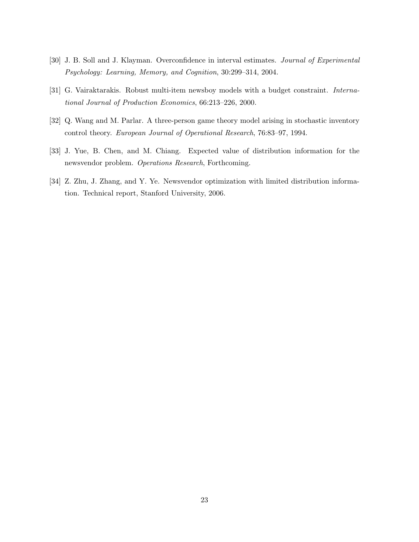- [30] J. B. Soll and J. Klayman. Overconfidence in interval estimates. Journal of Experimental Psychology: Learning, Memory, and Cognition, 30:299–314, 2004.
- [31] G. Vairaktarakis. Robust multi-item newsboy models with a budget constraint. International Journal of Production Economics, 66:213–226, 2000.
- [32] Q. Wang and M. Parlar. A three-person game theory model arising in stochastic inventory control theory. European Journal of Operational Research, 76:83–97, 1994.
- [33] J. Yue, B. Chen, and M. Chiang. Expected value of distribution information for the newsvendor problem. Operations Research, Forthcoming.
- [34] Z. Zhu, J. Zhang, and Y. Ye. Newsvendor optimization with limited distribution information. Technical report, Stanford University, 2006.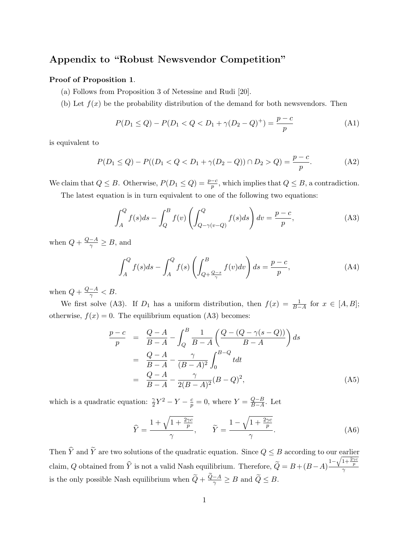# Appendix to "Robust Newsvendor Competition"

# Proof of Proposition 1.

- (a) Follows from Proposition 3 of Netessine and Rudi [20].
- (b) Let  $f(x)$  be the probability distribution of the demand for both newsvendors. Then

$$
P(D_1 \le Q) - P(D_1 < Q < D_1 + \gamma(D_2 - Q)^+) = \frac{p - c}{p} \tag{A1}
$$

is equivalent to

$$
P(D_1 \le Q) - P((D_1 < Q < D_1 + \gamma(D_2 - Q)) \cap D_2 > Q) = \frac{p - c}{p}.\tag{A2}
$$

We claim that  $Q \leq B$ . Otherwise,  $P(D_1 \leq Q) = \frac{p-c}{p}$ , which implies that  $Q \leq B$ , a contradiction. The latest equation is in turn equivalent to one of the following two equations:

$$
\int_{A}^{Q} f(s)ds - \int_{Q}^{B} f(v) \left( \int_{Q-\gamma(v-Q)}^{Q} f(s)ds \right) dv = \frac{p-c}{p},
$$
\n(A3)

when  $Q + \frac{Q-A}{\gamma} \geq B$ , and

$$
\int_{A}^{Q} f(s)ds - \int_{A}^{Q} f(s) \left( \int_{Q + \frac{Q - s}{\gamma}}^{B} f(v)dv \right) ds = \frac{p - c}{p},\tag{A4}
$$

when  $Q + \frac{Q-A}{\gamma} < B$ .

We first solve (A3). If  $D_1$  has a uniform distribution, then  $f(x) = \frac{1}{B-A}$  for  $x \in [A, B]$ ; otherwise,  $f(x) = 0$ . The equilibrium equation (A3) becomes:

$$
\frac{p-c}{p} = \frac{Q-A}{B-A} - \int_{Q}^{B} \frac{1}{B-A} \left( \frac{Q - (Q - \gamma(s - Q))}{B-A} \right) ds
$$
  

$$
= \frac{Q-A}{B-A} - \frac{\gamma}{(B-A)^2} \int_{0}^{B-Q} t dt
$$
  

$$
= \frac{Q-A}{B-A} - \frac{\gamma}{2(B-A)^2} (B-Q)^2,
$$
 (A5)

which is a quadratic equation:  $\frac{\gamma}{2}Y^2 - Y - \frac{c}{p} = 0$ , where  $Y = \frac{Q-B}{B-A}$  $\frac{Q-B}{B-A}$ . Let

$$
\widehat{Y} = \frac{1 + \sqrt{1 + \frac{2\gamma c}{p}}}{\gamma}, \qquad \widetilde{Y} = \frac{1 - \sqrt{1 + \frac{2\gamma c}{p}}}{\gamma}.
$$
\n(A6)

Then  $\widehat{Y}$  and  $\widetilde{Y}$  are two solutions of the quadratic equation. Since  $Q \leq B$  according to our earlier claim, Q obtained from  $\hat{Y}$  is not a valid Nash equilibrium. Therefore,  $\tilde{Q} = B + (B-A)\frac{1-\sqrt{1+\frac{2\gamma c}{p}}}{\gamma}$ is the only possible Nash equilibrium when  $\widetilde{Q} + \frac{Q-A}{\gamma} \geq B$  and  $\widetilde{Q} \leq B$ .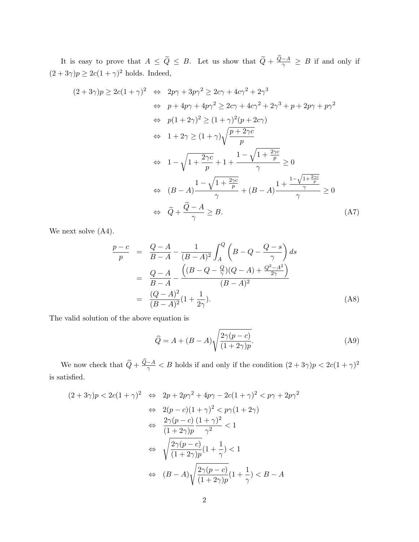It is easy to prove that  $A \leq \tilde{Q} \leq B$ . Let us show that  $\tilde{Q} + \frac{Q-A}{\gamma} \geq B$  if and only if  $(2+3\gamma)p \geq 2c(1+\gamma)^2$  holds. Indeed,

$$
(2+3\gamma)p \ge 2c(1+\gamma)^2 \iff 2p\gamma + 3p\gamma^2 \ge 2c\gamma + 4c\gamma^2 + 2\gamma^3
$$
  
\n
$$
\iff p + 4p\gamma + 4p\gamma^2 \ge 2c\gamma + 4c\gamma^2 + 2\gamma^3 + p + 2p\gamma + p\gamma^2
$$
  
\n
$$
\iff p(1+2\gamma)^2 \ge (1+\gamma)^2(p+2c\gamma)
$$
  
\n
$$
\iff 1+2\gamma \ge (1+\gamma)\sqrt{\frac{p+2\gamma c}{p}}
$$
  
\n
$$
\iff 1-\sqrt{1+\frac{2\gamma c}{p}} + 1+\frac{1-\sqrt{1+\frac{2\gamma c}{p}}}{\gamma} \ge 0
$$
  
\n
$$
\iff (B-A)\frac{1-\sqrt{1+\frac{2\gamma c}{p}}}{\gamma} + (B-A)\frac{1+\frac{1-\sqrt{1+\frac{2\gamma c}{p}}}{\gamma}}{\gamma} \ge 0
$$
  
\n
$$
\iff \widetilde{Q}+\frac{\widetilde{Q}-A}{\gamma} \ge B.
$$
 (A7)

We next solve  $(A4)$ .

$$
\frac{p-c}{p} = \frac{Q-A}{B-A} - \frac{1}{(B-A)^2} \int_A^Q \left( B - Q - \frac{Q-s}{\gamma} \right) ds
$$
  
= 
$$
\frac{Q-A}{B-A} - \frac{\left( (B - Q - \frac{Q}{\gamma})(Q-A) + \frac{Q^2 - A^2}{2\gamma} \right)}{(B-A)^2}
$$
  
= 
$$
\frac{(Q-A)^2}{(B-A)^2} (1 + \frac{1}{2\gamma}).
$$
 (A8)

The valid solution of the above equation is

$$
\widehat{Q} = A + (B - A) \sqrt{\frac{2\gamma(p - c)}{(1 + 2\gamma)p}}.\tag{A9}
$$

We now check that  $\widehat{Q} + \frac{Q-A}{\gamma} < B$  holds if and only if the condition  $(2+3\gamma)p < 2c(1+\gamma)^2$ is satisfied.

$$
(2+3\gamma)p < 2c(1+\gamma)^2 \iff 2p+2p\gamma^2 + 4p\gamma - 2c(1+\gamma)^2 < p\gamma + 2p\gamma^2
$$

$$
\iff 2(p-c)(1+\gamma)^2 < p\gamma(1+2\gamma)
$$

$$
\iff \frac{2\gamma(p-c)}{(1+2\gamma)p} \frac{(1+\gamma)^2}{\gamma^2} < 1
$$

$$
\iff \sqrt{\frac{2\gamma(p-c)}{(1+2\gamma)p}}(1+\frac{1}{\gamma}) < 1
$$

$$
\iff (B-A)\sqrt{\frac{2\gamma(p-c)}{(1+2\gamma)p}}(1+\frac{1}{\gamma}) < B-A
$$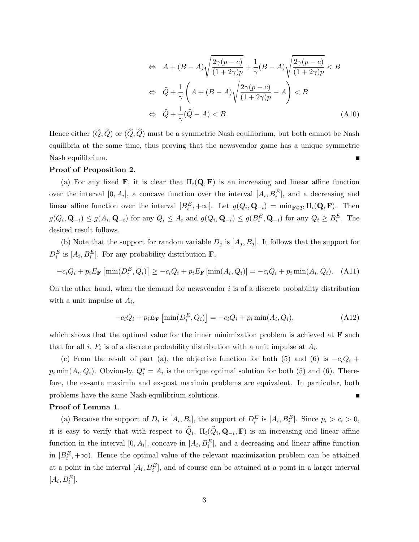$$
\Leftrightarrow A + (B - A) \sqrt{\frac{2\gamma(p - c)}{(1 + 2\gamma)p}} + \frac{1}{\gamma}(B - A) \sqrt{\frac{2\gamma(p - c)}{(1 + 2\gamma)p}} < B
$$
  

$$
\Leftrightarrow \hat{Q} + \frac{1}{\gamma} \left( A + (B - A) \sqrt{\frac{2\gamma(p - c)}{(1 + 2\gamma)p}} - A \right) < B
$$
  

$$
\Leftrightarrow \hat{Q} + \frac{1}{\gamma} (\hat{Q} - A) < B.
$$
 (A10)

Hence either  $(\tilde{Q}, \tilde{Q})$  or  $(\hat{Q}, \hat{Q})$  must be a symmetric Nash equilibrium, but both cannot be Nash equilibria at the same time, thus proving that the newsvendor game has a unique symmetric Nash equilibrium.  $\blacksquare$ 

# Proof of Proposition 2.

(a) For any fixed **F**, it is clear that  $\Pi_i(\mathbf{Q}, \mathbf{F})$  is an increasing and linear affine function over the interval  $[0, A_i]$ , a concave function over the interval  $[A_i, B_i^E]$ , and a decreasing and linear affine function over the interval  $[B_i^E, +\infty]$ . Let  $g(Q_i, \mathbf{Q}_{-i}) = \min_{\mathbf{F} \in \mathcal{D}} \Pi_i(\mathbf{Q}, \mathbf{F})$ . Then  $g(Q_i, \mathbf{Q}_{-i}) \leq g(A_i, \mathbf{Q}_{-i})$  for any  $Q_i \leq A_i$  and  $g(Q_i, \mathbf{Q}_{-i}) \leq g(B_i^E, \mathbf{Q}_{-i})$  for any  $Q_i \geq B_i^E$ . The desired result follows.

(b) Note that the support for random variable  $D_j$  is  $[A_j, B_j]$ . It follows that the support for  $D_i^E$  is  $[A_i, B_i^E]$ . For any probability distribution **F**,

$$
-c_iQ_i + p_iE_{\mathbf{F}}\left[\min(D_i^E, Q_i)\right] \ge -c_iQ_i + p_iE_{\mathbf{F}}\left[\min(A_i, Q_i)\right] = -c_iQ_i + p_i\min(A_i, Q_i). \tag{A11}
$$

On the other hand, when the demand for newsvendor  $i$  is of a discrete probability distribution with a unit impulse at  $A_i$ ,

$$
-c_iQ_i + p_iE_{\mathbf{F}}\left[\min(D_i^E, Q_i)\right] = -c_iQ_i + p_i\min(A_i, Q_i),\tag{A12}
$$

which shows that the optimal value for the inner minimization problem is achieved at  $\bf{F}$  such that for all *i*,  $F_i$  is of a discrete probability distribution with a unit impulse at  $A_i$ .

(c) From the result of part (a), the objective function for both (5) and (6) is  $-c_iQ_i$  +  $p_i \min(A_i, Q_i)$ . Obviously,  $Q_i^* = A_i$  is the unique optimal solution for both (5) and (6). Therefore, the ex-ante maximin and ex-post maximin problems are equivalent. In particular, both problems have the same Nash equilibrium solutions.

# Proof of Lemma 1.

(a) Because the support of  $D_i$  is  $[A_i, B_i]$ , the support of  $D_i^E$  is  $[A_i, B_i^E]$ . Since  $p_i > c_i > 0$ , it is easy to verify that with respect to  $Q_i$ ,  $\Pi_i(Q_i, \mathbf{Q}_{-i}, \mathbf{F})$  is an increasing and linear affine function in the interval  $[0, A_i]$ , concave in  $[A_i, B_i^E]$ , and a decreasing and linear affine function in  $[B_i^E, +\infty)$ . Hence the optimal value of the relevant maximization problem can be attained at a point in the interval  $[A_i, B_i^E]$ , and of course can be attained at a point in a larger interval  $[A_i, B_i^E].$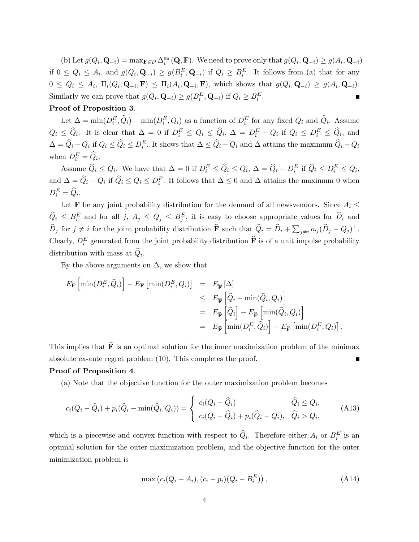(b) Let  $g(Q_i, \mathbf{Q}_{-i}) = \max_{\mathbf{F} \in \mathcal{D}} \Delta_i^{\text{ea}}(\mathbf{Q}, \mathbf{F})$ . We need to prove only that  $g(Q_i, \mathbf{Q}_{-i}) \ge g(A_i, \mathbf{Q}_{-i})$ if  $0 \le Q_i \le A_i$ , and  $g(Q_i, \mathbf{Q}_{-i}) \ge g(B_i^E, \mathbf{Q}_{-i})$  if  $Q_i \ge B_i^E$ . It follows from (a) that for any  $0 \leq Q_i \leq A_i$ ,  $\Pi_i(Q_i, \mathbf{Q}_{-i}, \mathbf{F}) \leq \Pi_i(A_i, \mathbf{Q}_{-i}, \mathbf{F})$ , which shows that  $g(Q_i, \mathbf{Q}_{-i}) \geq g(A_i, \mathbf{Q}_{-i}).$ Similarly we can prove that  $g(Q_i, \mathbf{Q}_{-i}) \ge g(B_i^E, \mathbf{Q}_{-i})$  if  $Q_i \ge B_i^E$ .

# Proof of Proposition 3.

Let  $\Delta = \min(D_i^E, \hat{Q}_i) - \min(D_i^E, Q_i)$  as a function of  $D_i^E$  for any fixed  $Q_i$  and  $\hat{Q}_i$ . Assume  $Q_i \leq \widehat{Q}_i$ . It is clear that  $\Delta = 0$  if  $D_i^E \leq Q_i \leq \widehat{Q}_i$ ,  $\Delta = D_i^E - Q_i$  if  $Q_i \leq D_i^E \leq \widehat{Q}_i$ , and  $\Delta = \widehat{Q}_i - Q_i$  if  $Q_i \leq \widehat{Q}_i \leq D_i^E$ . It shows that  $\Delta \leq \widehat{Q}_i - Q_i$  and  $\Delta$  attains the maximum  $\widehat{Q}_i - Q_i$ when  $D_i^E = \widehat{Q}_i$ .

Assume  $\widehat{Q}_i \leq Q_i$ . We have that  $\Delta = 0$  if  $D_i^E \leq \widehat{Q}_i \leq Q_i$ ,  $\Delta = \widehat{Q}_i - D_i^E$  if  $\widehat{Q}_i \leq D_i^E \leq Q_i$ , and  $\Delta = \widehat{Q}_i - Q_i$  if  $\widehat{Q}_i \leq Q_i \leq D_i^E$ . It follows that  $\Delta \leq 0$  and  $\Delta$  attains the maximum 0 when  $D_i^E = \widehat{Q}_i.$ 

Let **F** be any joint probability distribution for the demand of all newsvendors. Since  $A_i \leq$  $\widehat{Q}_i \leq B_i^E$  and for all  $j, A_j \leq Q_j \leq B_j^E$ , it is easy to choose appropriate values for  $\widehat{D}_i$  and  $\widehat{D}_j$  for  $j \neq i$  for the joint probability distribution  $\widehat{\mathbf{F}}$  such that  $\widehat{Q}_i = \widehat{D}_i + \sum_{j \neq i} o_{ij} (\widehat{D}_j - Q_j)^+$ . Clearly,  $D_i^E$  generated from the joint probability distribution  $\hat{\mathbf{F}}$  is of a unit impulse probability distribution with mass at  $Q_i$ .

By the above arguments on  $\Delta$ , we show that

$$
E_{\mathbf{F}}\left[\min(D_i^E, \hat{Q}_i)\right] - E_{\mathbf{F}}\left[\min(D_i^E, Q_i)\right] = E_{\widehat{\mathbf{F}}}\left[\Delta\right] \n\leq E_{\widehat{\mathbf{F}}}\left[\widehat{Q}_i - \min(\widehat{Q}_i, Q_i)\right] \n= E_{\widehat{\mathbf{F}}}\left[\widehat{Q}_i\right] - E_{\widehat{\mathbf{F}}}\left[\min(\widehat{Q}_i, Q_i)\right] \n= E_{\widehat{\mathbf{F}}}\left[\min(D_i^E, \widehat{Q}_i)\right] - E_{\widehat{\mathbf{F}}}\left[\min(D_i^E, Q_i)\right].
$$

This implies that  $\hat{\mathbf{F}}$  is an optimal solution for the inner maximization problem of the minimax absolute ex-ante regret problem (10). This completes the proof.

#### Proof of Proposition 4.

(a) Note that the objective function for the outer maximization problem becomes

$$
c_i(Q_i - \widehat{Q}_i) + p_i(\widehat{Q}_i - \min(\widehat{Q}_i, Q_i)) = \begin{cases} c_i(Q_i - \widehat{Q}_i) & \widehat{Q}_i \leq Q_i, \\ c_i(Q_i - \widehat{Q}_i) + p_i(\widehat{Q}_i - Q_i), & \widehat{Q}_i > Q_i, \end{cases}
$$
(A13)

which is a piecewise and convex function with respect to  $\hat{Q}_i$ . Therefore either  $A_i$  or  $B_i^E$  is an optimal solution for the outer maximization problem, and the objective function for the outer minimization problem is

$$
\max (c_i(Q_i - A_i), (c_i - p_i)(Q_i - B_i^E)), \qquad (A14)
$$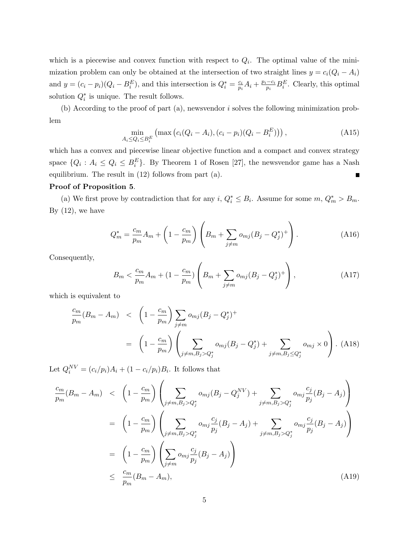which is a piecewise and convex function with respect to  $Q_i$ . The optimal value of the minimization problem can only be obtained at the intersection of two straight lines  $y = c_i(Q_i - A_i)$ and  $y = (c_i - p_i)(Q_i - B_i^E)$ , and this intersection is  $Q_i^* = \frac{c_i}{p_i}$  $\frac{c_i}{p_i}A_i + \frac{p_i - c_i}{p_i}$  $\frac{-c_i}{p_i}B_i^E$ . Clearly, this optimal solution  $Q_i^*$  is unique. The result follows.

(b) According to the proof of part  $(a)$ , newsvendor i solves the following minimization problem

$$
\min_{A_i \le Q_i \le B_i^E} \left( \max \left( c_i (Q_i - A_i), (c_i - p_i)(Q_i - B_i^E) \right) \right),\tag{A15}
$$

which has a convex and piecewise linear objective function and a compact and convex strategy space  $\{Q_i: A_i \leq Q_i \leq B_i^E\}$ . By Theorem 1 of Rosen [27], the newsvendor game has a Nash equilibrium. The result in (12) follows from part (a).  $\blacksquare$ 

# Proof of Proposition 5.

(a) We first prove by contradiction that for any  $i, Q_i^* \leq B_i$ . Assume for some  $m, Q_m^* > B_m$ . By  $(12)$ , we have

$$
Q_m^* = \frac{c_m}{p_m} A_m + \left(1 - \frac{c_m}{p_m}\right) \left( B_m + \sum_{j \neq m} o_{mj} (B_j - Q_j^*)^+\right). \tag{A16}
$$

Consequently,

$$
B_m < \frac{c_m}{p_m} A_m + (1 - \frac{c_m}{p_m}) \left( B_m + \sum_{j \neq m} o_{mj} (B_j - Q_j^*)^+ \right), \tag{A17}
$$

which is equivalent to

$$
\frac{c_m}{p_m}(B_m - A_m) \leq \left(1 - \frac{c_m}{p_m}\right) \sum_{j \neq m} o_{mj}(B_j - Q_j^*)^+
$$
\n
$$
= \left(1 - \frac{c_m}{p_m}\right) \left(\sum_{j \neq m, B_j > Q_j^*} o_{mj}(B_j - Q_j^*) + \sum_{j \neq m, B_j \leq Q_j^*} o_{mj} \times 0\right). (A18)
$$

Let  $Q_i^{NV} = (c_i/p_i)A_i + (1 - c_i/p_i)B_i$ . It follows that

$$
\frac{c_m}{p_m}(B_m - A_m) < \left(1 - \frac{c_m}{p_m}\right) \left(\sum_{j \neq m, B_j > Q_j^*} o_{mj}(B_j - Q_j^{NV}) + \sum_{j \neq m, B_j > Q_j^*} o_{mj} \frac{c_j}{p_j}(B_j - A_j)\right)
$$
\n
$$
= \left(1 - \frac{c_m}{p_m}\right) \left(\sum_{j \neq m, B_j > Q_j^*} o_{mj} \frac{c_j}{p_j}(B_j - A_j) + \sum_{j \neq m, B_j > Q_j^*} o_{mj} \frac{c_j}{p_j}(B_j - A_j)\right)
$$
\n
$$
= \left(1 - \frac{c_m}{p_m}\right) \left(\sum_{j \neq m} o_{mj} \frac{c_j}{p_j}(B_j - A_j)\right)
$$
\n
$$
\leq \frac{c_m}{p_m}(B_m - A_m), \tag{A19}
$$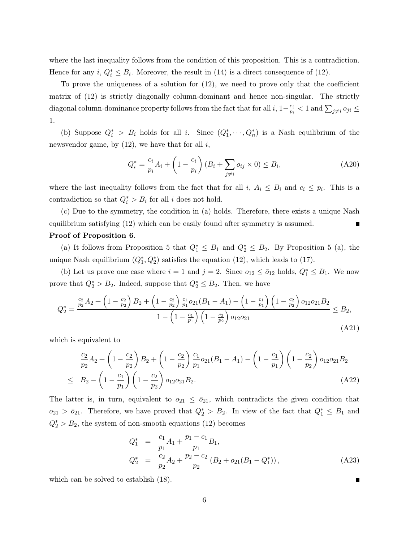where the last inequality follows from the condition of this proposition. This is a contradiction. Hence for any  $i, Q_i^* \leq B_i$ . Moreover, the result in (14) is a direct consequence of (12).

To prove the uniqueness of a solution for (12), we need to prove only that the coefficient matrix of (12) is strictly diagonally column-dominant and hence non-singular. The strictly diagonal column-dominance property follows from the fact that for all i,  $1-\frac{c_i}{n}$  $\frac{c_i}{p_i}$  < 1 and  $\sum_{j\neq i} o_{ji} \leq$ 1.

(b) Suppose  $Q_i^* > B_i$  holds for all i. Since  $(Q_1^*, \dots, Q_n^*)$  is a Nash equilibrium of the newsvendor game, by  $(12)$ , we have that for all i,

$$
Q_i^* = \frac{c_i}{p_i} A_i + \left(1 - \frac{c_i}{p_i}\right) (B_i + \sum_{j \neq i} o_{ij} \times 0) \leq B_i,
$$
 (A20)

where the last inequality follows from the fact that for all i,  $A_i \leq B_i$  and  $c_i \leq p_i$ . This is a contradiction so that  $Q_i^* > B_i$  for all i does not hold.

(c) Due to the symmetry, the condition in (a) holds. Therefore, there exists a unique Nash equilibrium satisfying (12) which can be easily found after symmetry is assumed.

# Proof of Proposition 6.

(a) It follows from Proposition 5 that  $Q_1^* \leq B_1$  and  $Q_2^* \leq B_2$ . By Proposition 5 (a), the unique Nash equilibrium  $(Q_1^*, Q_2^*)$  satisfies the equation (12), which leads to (17).

(b) Let us prove one case where  $i = 1$  and  $j = 2$ . Since  $o_{12} \le \bar{o}_{12}$  holds,  $Q_1^* \le B_1$ . We now prove that  $Q_2^* > B_2$ . Indeed, suppose that  $Q_2^* \leq B_2$ . Then, we have

$$
Q_2^* = \frac{\frac{c_2}{p_2}A_2 + \left(1 - \frac{c_2}{p_2}\right)B_2 + \left(1 - \frac{c_2}{p_2}\right)\frac{c_1}{p_1}o_{21}(B_1 - A_1) - \left(1 - \frac{c_1}{p_1}\right)\left(1 - \frac{c_2}{p_2}\right)o_{12}o_{21}B_2}{1 - \left(1 - \frac{c_1}{p_1}\right)\left(1 - \frac{c_2}{p_2}\right)o_{12}o_{21}} \le B_2,
$$
\n(A21)

which is equivalent to

$$
\frac{c_2}{p_2}A_2 + \left(1 - \frac{c_2}{p_2}\right)B_2 + \left(1 - \frac{c_2}{p_2}\right)\frac{c_1}{p_1}o_{21}(B_1 - A_1) - \left(1 - \frac{c_1}{p_1}\right)\left(1 - \frac{c_2}{p_2}\right)o_{12}o_{21}B_2
$$
\n
$$
\leq B_2 - \left(1 - \frac{c_1}{p_1}\right)\left(1 - \frac{c_2}{p_2}\right)o_{12}o_{21}B_2. \tag{A22}
$$

The latter is, in turn, equivalent to  $o_{21} \le \overline{o}_{21}$ , which contradicts the given condition that  $o_{21} > \bar{o}_{21}$ . Therefore, we have proved that  $Q_2^* > B_2$ . In view of the fact that  $Q_1^* \leq B_1$  and  $Q_2^* > B_2$ , the system of non-smooth equations (12) becomes

$$
Q_1^* = \frac{c_1}{p_1} A_1 + \frac{p_1 - c_1}{p_1} B_1,
$$
  
\n
$$
Q_2^* = \frac{c_2}{p_2} A_2 + \frac{p_2 - c_2}{p_2} (B_2 + o_{21}(B_1 - Q_1^*)),
$$
\n(A23)

which can be solved to establish (18).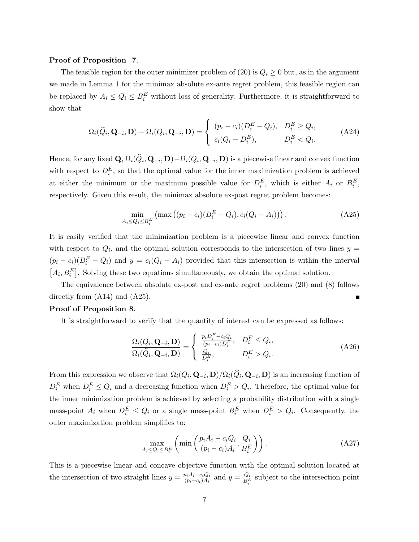#### Proof of Proposition 7.

The feasible region for the outer minimizer problem of (20) is  $Q_i \geq 0$  but, as in the argument we made in Lemma 1 for the minimax absolute ex-ante regret problem, this feasible region can be replaced by  $A_i \leq Q_i \leq B_i^E$  without loss of generality. Furthermore, it is straightforward to show that

$$
\Omega_i(\widehat{Q}_i, \mathbf{Q}_{-i}, \mathbf{D}) - \Omega_i(Q_i, \mathbf{Q}_{-i}, \mathbf{D}) = \begin{cases} (p_i - c_i)(D_i^E - Q_i), & D_i^E \ge Q_i, \\ c_i(Q_i - D_i^E), & D_i^E < Q_i. \end{cases}
$$
(A24)

Hence, for any fixed  $\mathbf{Q}, \Omega_i(Q_i, \mathbf{Q}_{-i}, \mathbf{D}) - \Omega_i(Q_i, \mathbf{Q}_{-i}, \mathbf{D})$  is a piecewise linear and convex function with respect to  $D_i^E$ , so that the optimal value for the inner maximization problem is achieved at either the minimum or the maximum possible value for  $D_i^E$ , which is either  $A_i$  or  $B_i^E$ , respectively. Given this result, the minimax absolute ex-post regret problem becomes:

$$
\min_{A_i \le Q_i \le B_i^E} \left( \max \left( (p_i - c_i)(B_i^E - Q_i), c_i(Q_i - A_i) \right) \right). \tag{A25}
$$

It is easily verified that the minimization problem is a piecewise linear and convex function with respect to  $Q_i$ , and the optimal solution corresponds to the intersection of two lines  $y =$  $(p_i - c_i)(B_i^E - Q_i)$  and  $y = c_i(Q_i - A_i)$  provided that this intersection is within the interval  $[A_i, B_i^E]$ . Solving these two equations simultaneously, we obtain the optimal solution.

The equivalence between absolute ex-post and ex-ante regret problems (20) and (8) follows directly from (A14) and (A25).

#### Proof of Proposition 8.

It is straightforward to verify that the quantity of interest can be expressed as follows:

$$
\frac{\Omega_i(Q_i, \mathbf{Q}_{-i}, \mathbf{D})}{\Omega_i(\widehat{Q}_i, \mathbf{Q}_{-i}, \mathbf{D})} = \begin{cases} \frac{p_i D_i^E - c_i Q_i}{(p_i - c_i) D_i^E}, & D_i^E \le Q_i, \\ \frac{Q_i}{D_i^E}, & D_i^E > Q_i. \end{cases}
$$
\n(A26)

From this expression we observe that  $\Omega_i(Q_i, \mathbf{Q}_{-i}, \mathbf{D})/\Omega_i(Q_i, \mathbf{Q}_{-i}, \mathbf{D})$  is an increasing function of  $D_i^E$  when  $D_i^E \leq Q_i$  and a decreasing function when  $D_i^E > Q_i$ . Therefore, the optimal value for the inner minimization problem is achieved by selecting a probability distribution with a single mass-point  $A_i$  when  $D_i^E \leq Q_i$  or a single mass-point  $B_i^E$  when  $D_i^E > Q_i$ . Consequently, the outer maximization problem simplifies to:

$$
\max_{A_i \le Q_i \le B_i^E} \left( \min \left( \frac{p_i A_i - c_i Q_i}{(p_i - c_i) A_i}, \frac{Q_i}{B_i^E} \right) \right). \tag{A27}
$$

This is a piecewise linear and concave objective function with the optimal solution located at the intersection of two straight lines  $y = \frac{p_i A_i - c_i Q_i}{(p_i - c_i) A_i}$  $\frac{p_i A_i - c_i Q_i}{(p_i - c_i)A_i}$  and  $y = \frac{Q_i}{B_i^E}$  $\frac{Q_i}{B_i^E}$  subject to the intersection point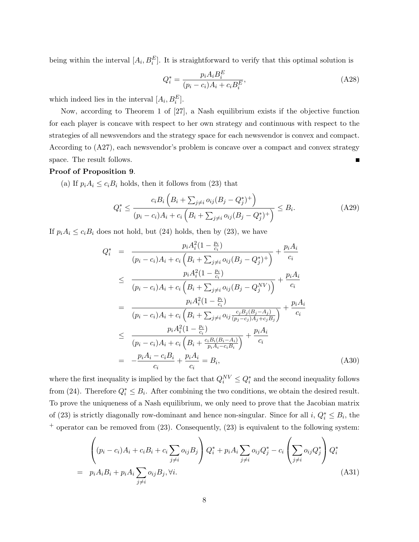being within the interval  $[A_i, B_i^E]$ . It is straightforward to verify that this optimal solution is

$$
Q_i^* = \frac{p_i A_i B_i^E}{(p_i - c_i) A_i + c_i B_i^E},
$$
\n(A28)

which indeed lies in the interval  $[A_i, B_i^E]$ .

Now, according to Theorem 1 of [27], a Nash equilibrium exists if the objective function for each player is concave with respect to her own strategy and continuous with respect to the strategies of all newsvendors and the strategy space for each newsvendor is convex and compact. According to (A27), each newsvendor's problem is concave over a compact and convex strategy space. The result follows.

#### Proof of Proposition 9.

(a) If  $p_i A_i \leq c_i B_i$  holds, then it follows from (23) that

$$
Q_i^* \le \frac{c_i B_i \left( B_i + \sum_{j \ne i} o_{ij} (B_j - Q_j^*)^+ \right)}{(p_i - c_i) A_i + c_i \left( B_i + \sum_{j \ne i} o_{ij} (B_j - Q_j^*)^+ \right)} \le B_i.
$$
 (A29)

If  $p_i A_i \leq c_i B_i$  does not hold, but (24) holds, then by (23), we have

$$
Q_{i}^{*} = \frac{p_{i}A_{i}^{2}(1-\frac{p_{i}}{c_{i}})}{(p_{i}-c_{i})A_{i}+c_{i}\left(B_{i}+\sum_{j\neq i}o_{ij}(B_{j}-Q_{j}^{*})^{+}\right)} + \frac{p_{i}A_{i}}{c_{i}}
$$
  
\n
$$
\leq \frac{p_{i}A_{i}^{2}(1-\frac{p_{i}}{c_{i}})}{(p_{i}-c_{i})A_{i}+c_{i}\left(B_{i}+\sum_{j\neq i}o_{ij}(B_{j}-Q_{j}^{NV})\right)} + \frac{p_{i}A_{i}}{c_{i}}
$$
  
\n
$$
= \frac{p_{i}A_{i}^{2}(1-\frac{p_{i}}{c_{i}})}{(p_{i}-c_{i})A_{i}+c_{i}\left(B_{i}+\sum_{j\neq i}o_{ij}\frac{c_{j}B_{j}(B_{j}-A_{j})}{(p_{j}-c_{j})A_{j}+c_{j}B_{j}}\right)} + \frac{p_{i}A_{i}}{c_{i}}
$$
  
\n
$$
\leq \frac{p_{i}A_{i}^{2}(1-\frac{p_{i}}{c_{i}})}{(p_{i}-c_{i})A_{i}+c_{i}\left(B_{i}+\frac{c_{i}B_{i}(B_{i}-A_{i})}{p_{i}A_{i}-c_{i}B_{i}}\right)} + \frac{p_{i}A_{i}}{c_{i}}
$$
  
\n
$$
= -\frac{p_{i}A_{i}-c_{i}B_{i}}{c_{i}} + \frac{p_{i}A_{i}}{c_{i}} = B_{i}, \qquad (A30)
$$

where the first inequality is implied by the fact that  $Q_i^{NV} \leq Q_i^*$  and the second inequality follows from (24). Therefore  $Q_i^* \leq B_i$ . After combining the two conditions, we obtain the desired result. To prove the uniqueness of a Nash equilibrium, we only need to prove that the Jacobian matrix of (23) is strictly diagonally row-dominant and hence non-singular. Since for all  $i, Q_i^* \leq B_i$ , the  $^+$  operator can be removed from  $(23)$ . Consequently,  $(23)$  is equivalent to the following system:

$$
\begin{aligned}\n&\left((p_i - c_i)A_i + c_i B_i + c_i \sum_{j \neq i} o_{ij} B_j\right) Q_i^* + p_i A_i \sum_{j \neq i} o_{ij} Q_j^* - c_i \left(\sum_{j \neq i} o_{ij} Q_j^*\right) Q_i^* \\
&= p_i A_i B_i + p_i A_i \sum_{j \neq i} o_{ij} B_j, \forall i.\n\end{aligned} \tag{A31}
$$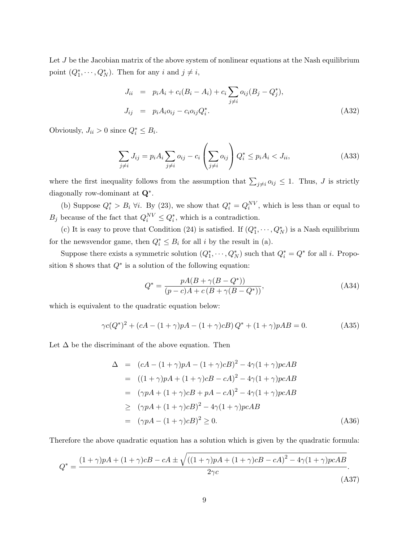Let  $J$  be the Jacobian matrix of the above system of nonlinear equations at the Nash equilibrium point  $(Q_1^*, \dots, Q_N^*)$ . Then for any *i* and  $j \neq i$ ,

$$
J_{ii} = p_i A_i + c_i (B_i - A_i) + c_i \sum_{j \neq i} o_{ij} (B_j - Q_j^*),
$$
  
\n
$$
J_{ij} = p_i A_i o_{ij} - c_i o_{ij} Q_i^*.
$$
\n(A32)

Obviously,  $J_{ii} > 0$  since  $Q_i^* \leq B_i$ .

$$
\sum_{j \neq i} J_{ij} = p_i A_i \sum_{j \neq i} o_{ij} - c_i \left( \sum_{j \neq i} o_{ij} \right) Q_i^* \leq p_i A_i < J_{ii}, \tag{A33}
$$

where the first inequality follows from the assumption that  $\sum_{j\neq i} o_{ij} \leq 1$ . Thus, J is strictly diagonally row-dominant at  $\mathbf{Q}^*$ .

(b) Suppose  $Q_i^* > B_i$   $\forall i$ . By (23), we show that  $Q_i^* = Q_i^{NV}$ , which is less than or equal to  $B_j$  because of the fact that  $Q_i^{NV} \leq Q_i^*$ , which is a contradiction.

(c) It is easy to prove that Condition (24) is satisfied. If  $(Q_1^*, \dots, Q_N^*)$  is a Nash equilibrium for the newsvendor game, then  $Q_i^* \leq B_i$  for all i by the result in (a).

Suppose there exists a symmetric solution  $(Q_1^*, \dots, Q_N^*)$  such that  $Q_i^* = Q^*$  for all *i*. Proposition 8 shows that  $Q^*$  is a solution of the following equation:

$$
Q^* = \frac{pA(B + \gamma(B - Q^*))}{(p - c)A + c(B + \gamma(B - Q^*))},
$$
\n(A34)

which is equivalent to the quadratic equation below:

$$
\gamma c(Q^*)^2 + (cA - (1+\gamma)pA - (1+\gamma)cB)Q^* + (1+\gamma)pAB = 0.
$$
 (A35)

Let  $\Delta$  be the discriminant of the above equation. Then

$$
\Delta = (cA - (1 + \gamma)pA - (1 + \gamma)cB)^{2} - 4\gamma(1 + \gamma)pcAB
$$
  
\n
$$
= ((1 + \gamma)pA + (1 + \gamma)cB - cA)^{2} - 4\gamma(1 + \gamma)pcAB
$$
  
\n
$$
= (\gamma pA + (1 + \gamma)cB + pA - cA)^{2} - 4\gamma(1 + \gamma)pcAB
$$
  
\n
$$
\geq (\gamma pA + (1 + \gamma)cB)^{2} - 4\gamma(1 + \gamma)pcAB
$$
  
\n
$$
= (\gamma pA - (1 + \gamma)cB)^{2} \geq 0.
$$
 (A36)

Therefore the above quadratic equation has a solution which is given by the quadratic formula:

$$
Q^* = \frac{(1+\gamma)pA + (1+\gamma)cB - cA \pm \sqrt{((1+\gamma)pA + (1+\gamma)cB - cA)^2 - 4\gamma(1+\gamma)pcAB}}{2\gamma c}.
$$
\n(A37)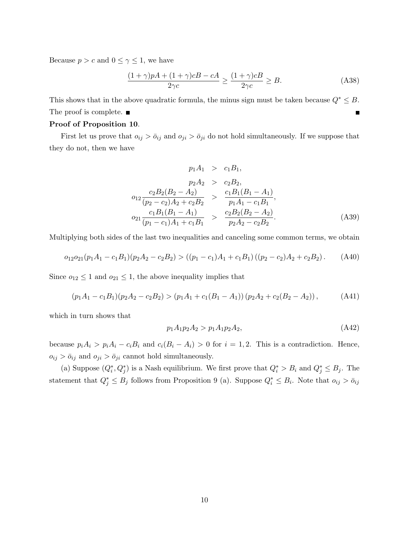Because  $p > c$  and  $0 \leq \gamma \leq 1$ , we have

$$
\frac{(1+\gamma)pA + (1+\gamma)cB - cA}{2\gamma c} \ge \frac{(1+\gamma)cB}{2\gamma c} \ge B.
$$
 (A38)

This shows that in the above quadratic formula, the minus sign must be taken because  $Q^* \leq B$ . The proof is complete.  $\blacksquare$  $\blacksquare$ 

# Proof of Proposition 10.

First let us prove that  $o_{ij} > \bar{o}_{ij}$  and  $o_{ji} > \bar{o}_{ji}$  do not hold simultaneously. If we suppose that they do not, then we have

$$
p_1 A_1 > c_1 B_1,
$$
  
\n
$$
p_2 A_2 > c_2 B_2,
$$
  
\n
$$
o_{12} \frac{c_2 B_2 (B_2 - A_2)}{(p_2 - c_2) A_2 + c_2 B_2} > \frac{c_1 B_1 (B_1 - A_1)}{p_1 A_1 - c_1 B_1},
$$
  
\n
$$
o_{21} \frac{c_1 B_1 (B_1 - A_1)}{(p_1 - c_1) A_1 + c_1 B_1} > \frac{c_2 B_2 (B_2 - A_2)}{p_2 A_2 - c_2 B_2}.
$$
\n(A39)

Multiplying both sides of the last two inequalities and canceling some common terms, we obtain

$$
o_{12}o_{21}(p_1A_1 - c_1B_1)(p_2A_2 - c_2B_2) > ((p_1 - c_1)A_1 + c_1B_1)((p_2 - c_2)A_2 + c_2B_2).
$$
 (A40)

Since  $o_{12} \leq 1$  and  $o_{21} \leq 1$ , the above inequality implies that

$$
(p_1A_1 - c_1B_1)(p_2A_2 - c_2B_2) > (p_1A_1 + c_1(B_1 - A_1))(p_2A_2 + c_2(B_2 - A_2)),
$$
 (A41)

which in turn shows that

$$
p_1 A_1 p_2 A_2 > p_1 A_1 p_2 A_2,\tag{A42}
$$

because  $p_i A_i > p_i A_i - c_i B_i$  and  $c_i (B_i - A_i) > 0$  for  $i = 1, 2$ . This is a contradiction. Hence,  $o_{ij} > \bar{o}_{ij}$  and  $o_{ji} > \bar{o}_{ji}$  cannot hold simultaneously.

(a) Suppose  $(Q_i^*, Q_j^*)$  is a Nash equilibrium. We first prove that  $Q_i^* > B_i$  and  $Q_j^* \leq B_j$ . The statement that  $Q_j^* \leq B_j$  follows from Proposition 9 (a). Suppose  $Q_i^* \leq B_i$ . Note that  $o_{ij} > \bar{o}_{ij}$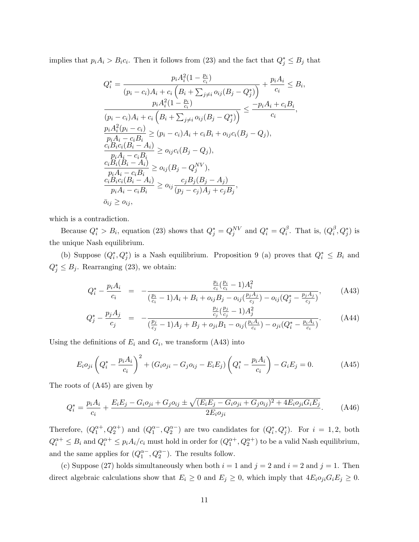implies that  $p_i A_i > B_i c_i$ . Then it follows from (23) and the fact that  $Q_j^* \leq B_j$  that

$$
Q_i^* = \frac{p_i A_i^2 (1 - \frac{p_i}{c_i})}{(p_i - c_i) A_i + c_i (B_i + \sum_{j \neq i} o_{ij} (B_j - Q_j^*))} + \frac{p_i A_i}{c_i} \leq B_i,
$$
  
\n
$$
\frac{p_i A_i^2 (1 - \frac{p_i}{c_i})}{(p_i - c_i) A_i + c_i (B_i + \sum_{j \neq i} o_{ij} (B_j - Q_j^*))} \leq \frac{-p_i A_i + c_i B_i}{c_i},
$$
  
\n
$$
\frac{p_i A_i^2 (p_i - c_i)}{p_i A_i - c_i B_i} \geq (p_i - c_i) A_i + c_i B_i + o_{ij} c_i (B_j - Q_j),
$$
  
\n
$$
\frac{c_i B_i c_i (B_i - A_i)}{p_i A_i - c_i B_i} \geq o_{ij} c_i (B_j - Q_j),
$$
  
\n
$$
\frac{c_i B_i (B_i - A_i)}{p_i A_i - c_i B_i} \geq o_{ij} (B_j - Q_j^N),
$$
  
\n
$$
\frac{c_i B_i c_i (B_i - A_i)}{p_i A_i - c_i B_i} \geq o_{ij} \frac{c_j B_j (B_j - A_j)}{(p_j - c_j) A_j + c_j B_j},
$$
  
\n
$$
\overline{o}_{ij} \geq o_{ij},
$$

which is a contradiction.

Because  $Q_i^* > B_i$ , equation (23) shows that  $Q_j^* = Q_j^{NV}$  and  $Q_i^* = Q_i^{\beta}$  $\frac{\beta}{i}$ . That is,  $(Q_i^{\beta})$  $_{i}^{\beta},Q_{j}^{\ast})$  is the unique Nash equilibrium.

(b) Suppose  $(Q_i^*, Q_j^*)$  is a Nash equilibrium. Proposition 9 (a) proves that  $Q_i^* \leq B_i$  and  $Q_j^* \leq B_j$ . Rearranging (23), we obtain:

$$
Q_i^* - \frac{p_i A_i}{c_i} = -\frac{\frac{p_i}{c_i} (\frac{p_i}{c_i} - 1) A_i^2}{(\frac{p_i}{c_i} - 1) A_i + B_i + o_{ij} B_j - o_{ij} (\frac{p_j A_j}{c_j}) - o_{ij} (Q_j^* - \frac{p_j A_j}{c_j})},
$$
(A43)

$$
Q_j^* - \frac{p_j A_j}{c_j} = -\frac{\frac{p_j}{c_j} (\frac{p_j}{c_j} - 1) A_j^2}{(\frac{p_j}{c_j} - 1) A_j + B_j + o_{ji} B_1 - o_{ij}(\frac{p_i A_i}{c_i}) - o_{ji} (Q_i^* - \frac{p_i A_i}{c_i})}.
$$
 (A44)

Using the definitions of  $E_i$  and  $G_i$ , we transform (A43) into

$$
E_i o_{ji} \left( Q_i^* - \frac{p_i A_i}{c_i} \right)^2 + (G_i o_{ji} - G_j o_{ij} - E_i E_j) \left( Q_i^* - \frac{p_i A_i}{c_i} \right) - G_i E_j = 0.
$$
 (A45)

The roots of (A45) are given by

$$
Q_i^* = \frac{p_i A_i}{c_i} + \frac{E_i E_j - G_i o_{ji} + G_j o_{ij} \pm \sqrt{(E_i E_j - G_i o_{ji} + G_j o_{ij})^2 + 4 E_i o_{ji} G_i E_j}}{2 E_i o_{ji}}.
$$
 (A46)

Therefore,  $(Q_1^{\alpha+}, Q_2^{\alpha+})$  and  $(Q_1^{\alpha-}, Q_2^{\alpha-})$  are two candidates for  $(Q_i^*, Q_j^*)$ . For  $i = 1, 2$ , both  $Q_i^{\alpha+} \leq B_i$  and  $Q_i^{\alpha+} \leq p_i A_i/c_i$  must hold in order for  $(Q_1^{\alpha+}, Q_2^{\alpha+})$  to be a valid Nash equilibrium, and the same applies for  $(Q_1^{\alpha-}, Q_2^{\alpha-})$ . The results follow.

(c) Suppose (27) holds simultaneously when both  $i = 1$  and  $j = 2$  and  $i = 2$  and  $j = 1$ . Then direct algebraic calculations show that  $E_i \geq 0$  and  $E_j \geq 0$ , which imply that  $4E_i o_{ji} G_i E_j \geq 0$ .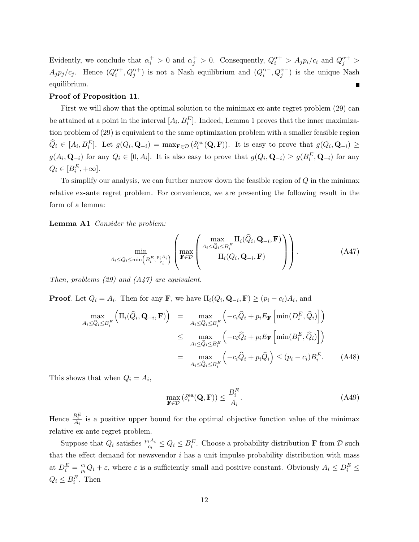Evidently, we conclude that  $\alpha_i^+ > 0$  and  $\alpha_j^+ > 0$ . Consequently,  $Q_i^{\alpha +} > A_j p_i/c_i$  and  $Q_j^{\alpha +} > 0$  $A_j p_j/c_j$ . Hence  $(Q_i^{\alpha+}, Q_j^{\alpha+})$  is not a Nash equilibrium and  $(Q_i^{\alpha-}, Q_j^{\alpha-})$  is the unique Nash equilibrium.

#### Proof of Proposition 11.

First we will show that the optimal solution to the minimax ex-ante regret problem (29) can be attained at a point in the interval  $[A_i, B_i^E]$ . Indeed, Lemma 1 proves that the inner maximization problem of (29) is equivalent to the same optimization problem with a smaller feasible region  $\widehat{Q}_i \in [A_i, B_i^E]$ . Let  $g(Q_i, \mathbf{Q}_{-i}) = \max_{\mathbf{F} \in \mathcal{D}} (\delta_i^{\text{ea}}(\mathbf{Q}, \mathbf{F}))$ . It is easy to prove that  $g(Q_i, \mathbf{Q}_{-i}) \ge$  $g(A_i, \mathbf{Q}_{-i})$  for any  $Q_i \in [0, A_i]$ . It is also easy to prove that  $g(Q_i, \mathbf{Q}_{-i}) \geq g(B_i^E, \mathbf{Q}_{-i})$  for any  $Q_i \in [B_i^E, +\infty].$ 

To simplify our analysis, we can further narrow down the feasible region of  $Q$  in the minimax relative ex-ante regret problem. For convenience, we are presenting the following result in the form of a lemma:

Lemma A1 Consider the problem:

$$
\min_{A_i \leq Q_i \leq \min\left(B_i^E, \frac{p_i A_i}{c_i}\right)} \left( \max_{\mathbf{F} \in \mathcal{D}} \left( \frac{\max_{A_i \leq \hat{Q}_i \leq B_i^E} \Pi_i(\hat{Q}_i, \mathbf{Q}_{-i}, \mathbf{F})}{\Pi_i(Q_i, \mathbf{Q}_{-i}, \mathbf{F})} \right) \right).
$$
(A47)

Then, problems  $(29)$  and  $(A47)$  are equivalent.

**Proof.** Let  $Q_i = A_i$ . Then for any **F**, we have  $\Pi_i(Q_i, \mathbf{Q}_{-i}, \mathbf{F}) \ge (p_i - c_i)A_i$ , and

$$
\max_{A_i \leq \hat{Q}_i \leq B_i^E} \left( \Pi_i(\hat{Q}_i, \mathbf{Q}_{-i}, \mathbf{F}) \right) = \max_{A_i \leq \hat{Q}_i \leq B_i^E} \left( -c_i \hat{Q}_i + p_i E_{\mathbf{F}} \left[ \min(D_i^E, \hat{Q}_i) \right] \right)
$$
  
\n
$$
\leq \max_{A_i \leq \hat{Q}_i \leq B_i^E} \left( -c_i \hat{Q}_i + p_i E_{\mathbf{F}} \left[ \min(B_i^E, \hat{Q}_i) \right] \right)
$$
  
\n
$$
= \max_{A_i \leq \hat{Q}_i \leq B_i^E} \left( -c_i \hat{Q}_i + p_i \hat{Q}_i \right) \leq (p_i - c_i) B_i^E. \tag{A48}
$$

This shows that when  $Q_i = A_i$ ,

$$
\max_{\mathbf{F}\in\mathcal{D}}\left(\delta_i^{\text{ea}}(\mathbf{Q}, \mathbf{F})\right) \le \frac{B_i^E}{A_i}.\tag{A49}
$$

Hence  $\frac{B_i^E}{A_i}$  is a positive upper bound for the optimal objective function value of the minimax relative ex-ante regret problem.

Suppose that  $Q_i$  satisfies  $\frac{p_i A_i}{c_i} \leq Q_i \leq B_i^E$ . Choose a probability distribution **F** from  $D$  such that the effect demand for newsvendor  $i$  has a unit impulse probability distribution with mass at  $D_i^E = \frac{c_i}{p_i}$  $\frac{c_i}{p_i}Q_i + \varepsilon$ , where  $\varepsilon$  is a sufficiently small and positive constant. Obviously  $A_i \leq D_i^E \leq$  $Q_i \leq B_i^E$ . Then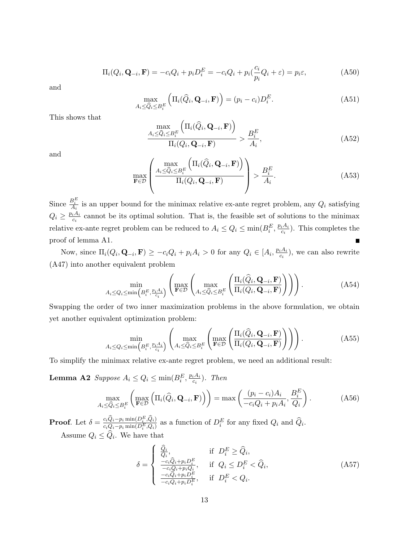$$
\Pi_i(Q_i, \mathbf{Q}_{-i}, \mathbf{F}) = -c_i Q_i + p_i D_i^E = -c_i Q_i + p_i \left(\frac{c_i}{p_i} Q_i + \varepsilon\right) = p_i \varepsilon,
$$
\n(A50)

and

$$
\max_{A_i \le \widehat{Q}_i \le B_i^E} \left( \Pi_i(\widehat{Q}_i, \mathbf{Q}_{-i}, \mathbf{F}) \right) = (p_i - c_i) D_i^E. \tag{A51}
$$

This shows that

$$
\frac{\max\limits_{A_i \leq \widehat{Q}_i \leq B_i^E} \left( \Pi_i(\widehat{Q}_i, \mathbf{Q}_{-i}, \mathbf{F}) \right)}{\Pi_i(Q_i, \mathbf{Q}_{-i}, \mathbf{F})} > \frac{B_i^E}{A_i},
$$
\n(A52)

and

$$
\max_{\mathbf{F}\in\mathcal{D}}\left(\frac{\max\limits_{A_{i}\leq\widehat{Q}_{i}\leq B_{i}^{E}}\left(\Pi_{i}(\widehat{Q}_{i},\mathbf{Q}_{-i},\mathbf{F})\right)}{\Pi_{i}(Q_{i},\mathbf{Q}_{-i},\mathbf{F})}\right)>\frac{B_{i}^{E}}{A_{i}}.
$$
\n(A53)

Since  $\frac{B_i^E}{A_i}$  is an upper bound for the minimax relative ex-ante regret problem, any  $Q_i$  satisfying  $Q_i \geq \frac{p_i A_i}{C}$  $\frac{d^2t_i}{dt^2}$  cannot be its optimal solution. That is, the feasible set of solutions to the minimax relative ex-ante regret problem can be reduced to  $A_i \le Q_i \le \min(B_i^E, \frac{p_i A_i}{c_i})$  $\frac{iA_i}{c_i}$ ). This completes the proof of lemma A1.

Now, since  $\Pi_i(Q_i, \mathbf{Q}_{-i}, \mathbf{F}) \ge -c_i Q_i + p_i A_i > 0$  for any  $Q_i \in [A_i, \frac{p_i A_i}{c_i}]$  $\frac{iA_i}{c_i}$ , we can also rewrite (A47) into another equivalent problem

$$
\min_{A_i \leq Q_i \leq \min\left(B_i^E, \frac{p_i A_i}{c_i}\right)} \left( \max_{\mathbf{F} \in \mathcal{D}} \left( \max_{A_i \leq \widehat{Q}_i \leq B_i^E} \left( \frac{\Pi_i(\widehat{Q}_i, \mathbf{Q}_{-i}, \mathbf{F})}{\Pi_i(Q_i, \mathbf{Q}_{-i}, \mathbf{F})} \right) \right) \right).
$$
(A54)

Swapping the order of two inner maximization problems in the above formulation, we obtain yet another equivalent optimization problem:

$$
\min_{A_i \leq Q_i \leq \min\left(B_i^E, \frac{p_i A_i}{c_i}\right)} \left( \max_{A_i \leq \widehat{Q}_i \leq B_i^E} \left( \max_{\mathbf{F} \in \mathcal{D}} \left( \frac{\Pi_i(\widehat{Q}_i, \mathbf{Q}_{-i}, \mathbf{F})}{\Pi_i(Q_i, \mathbf{Q}_{-i}, \mathbf{F})} \right) \right) \right).
$$
(A55)

To simplify the minimax relative ex-ante regret problem, we need an additional result:

**Lemma A2** Suppose  $A_i \le Q_i \le \min(B_i^E, \frac{p_i A_i}{c_i})$  $\frac{iA_i}{c_i}$ ). Then

$$
\max_{A_i \le \hat{Q}_i \le B_i^E} \left( \max_{\mathbf{F} \in \mathcal{D}} \left( \Pi_i(\hat{Q}_i, \mathbf{Q}_{-i}, \mathbf{F}) \right) \right) = \max \left( \frac{(p_i - c_i) A_i}{-c_i Q_i + p_i A_i}, \frac{B_i^E}{Q_i} \right). \tag{A56}
$$

**Proof.** Let  $\delta = \frac{c_i\hat{Q}_i - p_i \min(D_i^E, \hat{Q}_i)}{c_iQ_{i-1} \min(D_i^E, Q_i)}$  $\frac{c_iQ_i-p_i\min(D_i^E,Q_i)}{c_iQ_i-p_i\min(D_i^E,Q_i)}$  as a function of  $D_i^E$  for any fixed  $Q_i$  and  $\widehat{Q}_i$ . Assume  $Q_i \leq Q_i$ . We have that

$$
\delta = \begin{cases}\n\frac{\hat{Q}_i}{Q_i}, & \text{if } D_i^E \ge \hat{Q}_i, \\
\frac{-c_i\hat{Q}_i + p_i D_i^E}{-c_i\hat{Q}_i + p_i Q_i}, & \text{if } Q_i \le D_i^E < \hat{Q}_i, \\
\frac{-c_i\hat{Q}_i + p_i D_i^E}{-c_i\hat{Q}_i + p_i D_i^E}, & \text{if } D_i^E < Q_i.\n\end{cases} \tag{A57}
$$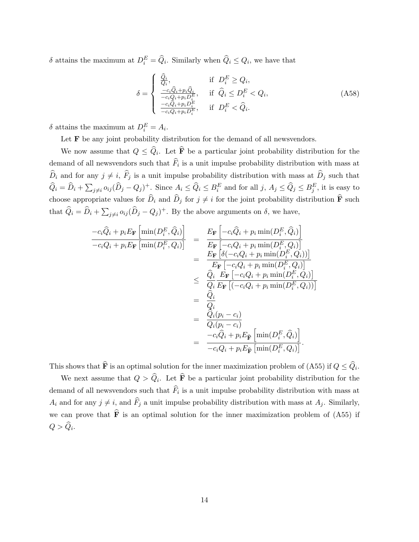$\delta$  attains the maximum at  $D_i^E = \widehat{Q}_i$ . Similarly when  $\widehat{Q}_i \leq Q_i$ , we have that

$$
\delta = \begin{cases}\n\frac{\hat{Q}_i}{Q_i}, & \text{if } D_i^E \ge Q_i, \\
\frac{-c_i\hat{Q}_i + p_i\hat{Q}_i}{-c_iQ_i + p_iD_i^E}, & \text{if } \hat{Q}_i \le D_i^E < Q_i, \\
\frac{-c_i\hat{Q}_i + p_iD_i^E}{-c_iQ_i + p_iD_i^E}, & \text{if } D_i^E < \hat{Q}_i.\n\end{cases} \tag{A58}
$$

 $\delta$  attains the maximum at  $D_i^E = A_i$ .

Let  ${\bf F}$  be any joint probability distribution for the demand of all newsvendors.

We now assume that  $Q \leq Q_i$ . Let **F** be a particular joint probability distribution for the demand of all newsvendors such that  $F_i$  is a unit impulse probability distribution with mass at  $\widehat{D}_i$  and for any  $j \neq i$ ,  $\widehat{F}_j$  is a unit impulse probability distribution with mass at  $\widehat{D}_j$  such that  $\widehat{Q}_i = \widehat{D}_i + \sum_{j \neq i} o_{ij} (\widehat{D}_j - Q_j)^+$ . Since  $A_i \leq \widehat{Q}_i \leq B_i^E$  and for all  $j, A_j \leq \widehat{Q}_j \leq B_j^E$ , it is easy to choose appropriate values for  $\hat{D}_i$  and  $\hat{D}_j$  for  $j \neq i$  for the joint probability distribution  $\hat{F}$  such that  $\widehat{Q}_i = \widehat{D}_i + \sum_{j \neq i} o_{ij} (\widehat{D}_j - Q_j)^+$ . By the above arguments on  $\delta$ , we have,

$$
\frac{-c_i\hat{Q}_i + p_iE_{\mathbf{F}}\left[\min(D_i^E, \hat{Q}_i)\right]}{-c_iQ_i + p_iE_{\mathbf{F}}\left[\min(D_i^E, Q_i)\right]} = \frac{E_{\mathbf{F}}\left[-c_i\hat{Q}_i + p_i\min(D_i^E, \hat{Q}_i)\right]}{E_{\mathbf{F}}\left[-c_iQ_i + p_i\min(D_i^E, Q_i)\right]} \\
= \frac{E_{\mathbf{F}}\left[\delta(-c_iQ_i + p_i\min(D_i^E, Q_i))\right]}{E_{\mathbf{F}}\left[-c_iQ_i + p_i\min(D_i^E, Q_i)\right]} \\
\leq \frac{\hat{Q}_i}{Q_i}\frac{E_{\mathbf{F}}\left[-c_iQ_i + p_i\min(D_i^E, Q_i)\right]}{E_{\mathbf{F}}\left[\left(-c_iQ_i + p_i\min(D_i^E, Q_i)\right)\right]} \\
= \frac{\hat{Q}_i}{Q_i}
$$
\n
$$
= \frac{\hat{Q}_i}{Q_i}
$$
\n
$$
= \frac{\hat{Q}_i}{Q_i(p_i - c_i)}
$$
\n
$$
= \frac{-c_i\hat{Q}_i + p_iE_{\widehat{\mathbf{F}}}\left[\min(D_i^E, \hat{Q}_i)\right]}{-c_iQ_i + p_iE_{\widehat{\mathbf{F}}}\left[\min(D_i^E, Q_i)\right]}.
$$

This shows that  $\overline{\mathbf{F}}$  is an optimal solution for the inner maximization problem of (A55) if  $Q \leq Q_i$ .

We next assume that  $Q > Q_i$ . Let **F** be a particular joint probability distribution for the demand of all newsvendors such that  $F_i$  is a unit impulse probability distribution with mass at  $A_i$  and for any  $j \neq i$ , and  $\widehat{F}_j$  a unit impulse probability distribution with mass at  $A_j$ . Similarly, we can prove that  $\hat{F}$  is an optimal solution for the inner maximization problem of (A55) if  $Q > Q_i$ .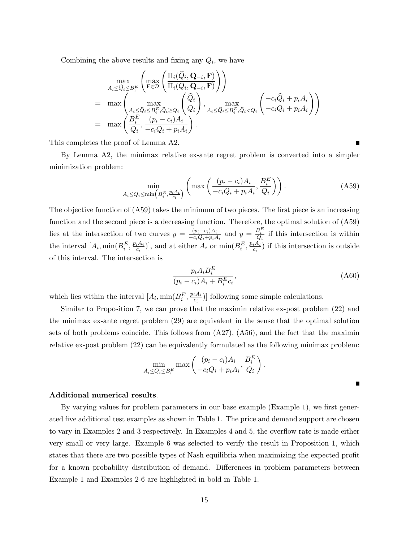Combining the above results and fixing any  $Q_i$ , we have

$$
\max_{A_i \leq \widehat{Q}_i \leq B_i^E} \left( \max_{\mathbf{F} \in \mathcal{D}} \left( \frac{\Pi_i(\widehat{Q}_i, \mathbf{Q}_{-i}, \mathbf{F})}{\Pi_i(Q_i, \mathbf{Q}_{-i}, \mathbf{F})} \right) \right) \n= \max_{\mathbf{A}_i \leq \widehat{Q}_i \leq B_i^E, \widehat{Q}_i \geq Q_i} \left( \frac{\widehat{Q}_i}{Q_i} \right), \max_{A_i \leq \widehat{Q}_i \leq B_i^E, \widehat{Q}_i < Q_i} \left( \frac{-c_i \widehat{Q}_i + p_i A_i}{-c_i Q_i + p_i A_i} \right) \n= \max_{\mathbf{A}_i \leq \widehat{Q}_i} \left( \frac{p_i - c_i A_i}{-c_i Q_i + p_i A_i} \right).
$$

This completes the proof of Lemma A2.

By Lemma A2, the minimax relative ex-ante regret problem is converted into a simpler minimization problem:

$$
\min_{A_i \le Q_i \le \min\left(B_i^E, \frac{p_i A_i}{c_i}\right)} \left(\max\left(\frac{(p_i - c_i)A_i}{-c_i Q_i + p_i A_i}, \frac{B_i^E}{Q_i}\right)\right). \tag{A59}
$$

The objective function of (A59) takes the minimum of two pieces. The first piece is an increasing function and the second piece is a decreasing function. Therefore, the optimal solution of (A59) lies at the intersection of two curves  $y = \frac{(p_i - c_i)A_i}{-c_i(1 + n_i)}$  $\frac{(p_i-c_i)A_i}{-c_iQ_i+p_iA_i}$  and  $y=\frac{B_i^E}{Q_i}$  if this intersection is within the interval  $[A_i, \min(B_i^E, \frac{p_i A_i}{c_i})]$  $(\frac{iA_i}{c_i})$ , and at either  $A_i$  or  $\min(B_i^E, \frac{p_iA_i}{c_i})$  $\frac{iA_i}{c_i}$ ) if this intersection is outside of this interval. The intersection is

$$
\frac{p_i A_i B_i^E}{(p_i - c_i) A_i + B_i^E c_i},\tag{A60}
$$

which lies within the interval  $[A_i, \min(B_i^E, \frac{p_i A_i}{c_i})]$  $(\frac{iA_i}{c_i})$ ] following some simple calculations.

Similar to Proposition 7, we can prove that the maximin relative ex-post problem (22) and the minimax ex-ante regret problem (29) are equivalent in the sense that the optimal solution sets of both problems coincide. This follows from  $(A27)$ ,  $(A56)$ , and the fact that the maximin relative ex-post problem (22) can be equivalently formulated as the following minimax problem:

$$
\min_{A_i \le Q_i \le B_i^E} \max \left( \frac{(p_i - c_i)A_i}{-c_iQ_i + p_iA_i}, \frac{B_i^E}{Q_i} \right).
$$

#### Additional numerical results.

By varying values for problem parameters in our base example (Example 1), we first generated five additional test examples as shown in Table 1. The price and demand support are chosen to vary in Examples 2 and 3 respectively. In Examples 4 and 5, the overflow rate is made either very small or very large. Example 6 was selected to verify the result in Proposition 1, which states that there are two possible types of Nash equilibria when maximizing the expected profit for a known probability distribution of demand. Differences in problem parameters between Example 1 and Examples 2-6 are highlighted in bold in Table 1.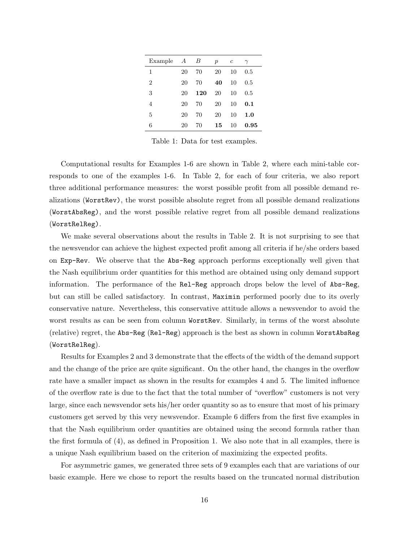| Example        | $\boldsymbol{A}$ | В   | $\boldsymbol{p}$ | c  | $\gamma$ |
|----------------|------------------|-----|------------------|----|----------|
| 1              | 20               | 70  | 20               | 10 | 0.5      |
| $\overline{2}$ | 20               | 70  | 40               | 10 | $0.5\,$  |
| 3              | 20               | 120 | 20               | 10 | 0.5      |
| 4              | 20               | 70  | 20               | 10 | 0.1      |
| 5              | 20               | 70  | 20               | 10 | 1.0      |
| 6              | 20               | 70  | 15               | 10 | 0.95     |

Table 1: Data for test examples.

Computational results for Examples 1-6 are shown in Table 2, where each mini-table corresponds to one of the examples 1-6. In Table 2, for each of four criteria, we also report three additional performance measures: the worst possible profit from all possible demand realizations (WorstRev), the worst possible absolute regret from all possible demand realizations (WorstAbsReg), and the worst possible relative regret from all possible demand realizations (WorstRelReg).

We make several observations about the results in Table 2. It is not surprising to see that the newsvendor can achieve the highest expected profit among all criteria if he/she orders based on Exp-Rev. We observe that the Abs-Reg approach performs exceptionally well given that the Nash equilibrium order quantities for this method are obtained using only demand support information. The performance of the Rel-Reg approach drops below the level of Abs-Reg, but can still be called satisfactory. In contrast, Maximin performed poorly due to its overly conservative nature. Nevertheless, this conservative attitude allows a newsvendor to avoid the worst results as can be seen from column WorstRev. Similarly, in terms of the worst absolute (relative) regret, the Abs-Reg (Rel-Reg) approach is the best as shown in column WorstAbsReg (WorstRelReg).

Results for Examples 2 and 3 demonstrate that the effects of the width of the demand support and the change of the price are quite significant. On the other hand, the changes in the overflow rate have a smaller impact as shown in the results for examples 4 and 5. The limited influence of the overflow rate is due to the fact that the total number of "overflow" customers is not very large, since each newsvendor sets his/her order quantity so as to ensure that most of his primary customers get served by this very newsvendor. Example 6 differs from the first five examples in that the Nash equilibrium order quantities are obtained using the second formula rather than the first formula of (4), as defined in Proposition 1. We also note that in all examples, there is a unique Nash equilibrium based on the criterion of maximizing the expected profits.

For asymmetric games, we generated three sets of 9 examples each that are variations of our basic example. Here we chose to report the results based on the truncated normal distribution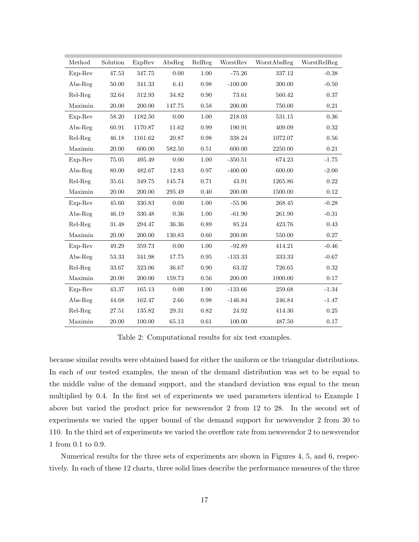| Method    | Solution  | ExpRev  | $\mathrm{AbsReg}$ | RelReg     | WorstRev  | WorstAbsReg | WorstRelReg |
|-----------|-----------|---------|-------------------|------------|-----------|-------------|-------------|
| Exp-Rev   | 47.53     | 347.75  | 0.00              | 1.00       | $-75.26$  | 337.12      | $-0.38$     |
| $Abs-Reg$ | 50.00     | 341.33  | 6.41              | 0.98       | $-100.00$ | 300.00      | $-0.50$     |
| Rel-Reg   | 32.64     | 312.93  | 34.82             | 0.90       | 73.61     | 560.42      | 0.37        |
| Maximin   | 20.00     | 200.00  | 147.75            | 0.58       | 200.00    | 750.00      | 0.21        |
| Exp-Rev   | 58.20     | 1182.50 | 0.00              | $1.00\,$   | 218.03    | 531.15      | 0.36        |
| $Abs-Reg$ | 60.91     | 1170.87 | 11.62             | 0.99       | 190.91    | 409.09      | 0.32        |
| Rel-Reg   | 46.18     | 1161.62 | 20.87             | 0.98       | 338.24    | 1072.07     | 0.56        |
| Maximin   | 20.00     | 600.00  | 582.50            | 0.51       | 600.00    | 2250.00     | 0.21        |
| Exp-Rev   | 75.05     | 495.49  | 0.00              | $1.00\,$   | $-350.51$ | 674.23      | $-1.75$     |
| $Abs-Reg$ | 80.00     | 482.67  | 12.83             | 0.97       | $-400.00$ | 600.00      | $-2.00$     |
| Rel-Reg   | 35.61     | 349.75  | 145.74            | 0.71       | 43.91     | 1265.86     | 0.22        |
| Maximin   | 20.00     | 200.00  | 295.49            | 0.40       | 200.00    | 1500.00     | 0.12        |
| Exp-Rev   | 45.60     | 330.83  | 0.00              | 1.00       | $-55.96$  | 268.45      | $-0.28$     |
| $Abs-Reg$ | 46.19     | 330.48  | 0.36              | 1.00       | $-61.90$  | 261.90      | $-0.31$     |
| Rel-Reg   | 31.48     | 294.47  | 36.36             | 0.89       | 85.24     | 423.76      | 0.43        |
| Maximin   | 20.00     | 200.00  | 130.83            | 0.60       | 200.00    | 550.00      | $0.27\,$    |
| Exp-Rev   | 49.29     | 359.73  | 0.00              | 1.00       | $-92.89$  | 414.21      | $-0.46$     |
| $Abs-Reg$ | 53.33     | 341.98  | 17.75             | $\rm 0.95$ | $-133.33$ | 333.33      | $-0.67$     |
| Rel-Reg   | 33.67     | 323.06  | 36.67             | 0.90       | 63.32     | 726.65      | 0.32        |
| Maximin   | $20.00\,$ | 200.00  | 159.73            | 0.56       | 200.00    | 1000.00     | 0.17        |
| $Exp-Rev$ | 43.37     | 165.13  | 0.00              | 1.00       | $-133.66$ | 259.68      | $-1.34$     |
| $Abs-Reg$ | 44.68     | 162.47  | 2.66              | 0.98       | $-146.84$ | 246.84      | $-1.47$     |
| Rel-Reg   | 27.51     | 135.82  | 29.31             | 0.82       | 24.92     | 414.30      | 0.25        |
| Maximin   | 20.00     | 100.00  | 65.13             | $\,0.61\,$ | 100.00    | 487.50      | 0.17        |

Table 2: Computational results for six test examples.

because similar results were obtained based for either the uniform or the triangular distributions. In each of our tested examples, the mean of the demand distribution was set to be equal to the middle value of the demand support, and the standard deviation was equal to the mean multiplied by 0.4. In the first set of experiments we used parameters identical to Example 1 above but varied the product price for newsvendor 2 from 12 to 28. In the second set of experiments we varied the upper bound of the demand support for newsvendor 2 from 30 to 110. In the third set of experiments we varied the overflow rate from newsvendor 2 to newsvendor 1 from 0.1 to 0.9.

Numerical results for the three sets of experiments are shown in Figures 4, 5, and 6, respectively. In each of these 12 charts, three solid lines describe the performance measures of the three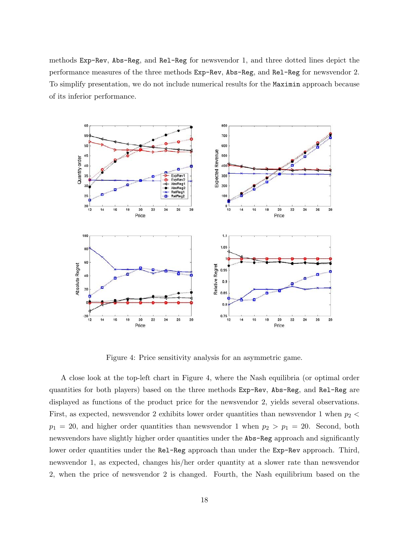methods Exp-Rev, Abs-Reg, and Rel-Reg for newsvendor 1, and three dotted lines depict the performance measures of the three methods Exp-Rev, Abs-Reg, and Rel-Reg for newsvendor 2. To simplify presentation, we do not include numerical results for the Maximin approach because of its inferior performance.



Figure 4: Price sensitivity analysis for an asymmetric game.

A close look at the top-left chart in Figure 4, where the Nash equilibria (or optimal order quantities for both players) based on the three methods Exp-Rev, Abs-Reg, and Rel-Reg are displayed as functions of the product price for the newsvendor 2, yields several observations. First, as expected, newsvendor 2 exhibits lower order quantities than newsvendor 1 when  $p_2$  <  $p_1 = 20$ , and higher order quantities than newsvendor 1 when  $p_2 > p_1 = 20$ . Second, both newsvendors have slightly higher order quantities under the Abs-Reg approach and significantly lower order quantities under the Rel-Reg approach than under the Exp-Rev approach. Third, newsvendor 1, as expected, changes his/her order quantity at a slower rate than newsvendor 2, when the price of newsvendor 2 is changed. Fourth, the Nash equilibrium based on the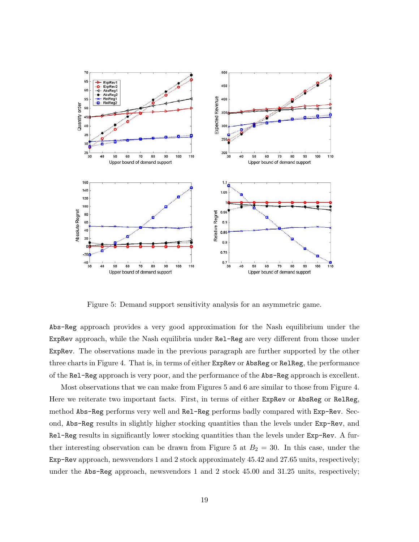

Figure 5: Demand support sensitivity analysis for an asymmetric game.

Abs-Reg approach provides a very good approximation for the Nash equilibrium under the ExpRev approach, while the Nash equilibria under Rel-Reg are very different from those under ExpRev. The observations made in the previous paragraph are further supported by the other three charts in Figure 4. That is, in terms of either ExpRev or AbsReg or RelReg, the performance of the Rel-Reg approach is very poor, and the performance of the Abs-Reg approach is excellent.

Most observations that we can make from Figures 5 and 6 are similar to those from Figure 4. Here we reiterate two important facts. First, in terms of either ExpRev or AbsReg or RelReg, method Abs-Reg performs very well and Rel-Reg performs badly compared with Exp-Rev. Second, Abs-Reg results in slightly higher stocking quantities than the levels under Exp-Rev, and Rel-Reg results in significantly lower stocking quantities than the levels under Exp-Rev. A further interesting observation can be drawn from Figure 5 at  $B_2 = 30$ . In this case, under the Exp-Rev approach, newsvendors 1 and 2 stock approximately 45.42 and 27.65 units, respectively; under the Abs-Reg approach, newsvendors 1 and 2 stock 45.00 and 31.25 units, respectively;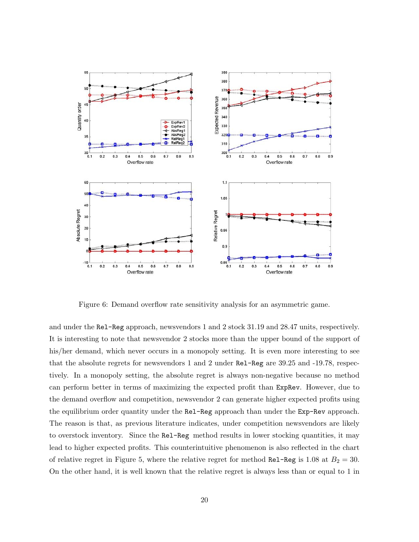

Figure 6: Demand overflow rate sensitivity analysis for an asymmetric game.

and under the Rel-Reg approach, newsvendors 1 and 2 stock 31.19 and 28.47 units, respectively. It is interesting to note that newsvendor 2 stocks more than the upper bound of the support of his/her demand, which never occurs in a monopoly setting. It is even more interesting to see that the absolute regrets for newsvendors 1 and 2 under Rel-Reg are 39.25 and -19.78, respectively. In a monopoly setting, the absolute regret is always non-negative because no method can perform better in terms of maximizing the expected profit than ExpRev. However, due to the demand overflow and competition, newsvendor 2 can generate higher expected profits using the equilibrium order quantity under the Rel-Reg approach than under the Exp-Rev approach. The reason is that, as previous literature indicates, under competition newsvendors are likely to overstock inventory. Since the Rel-Reg method results in lower stocking quantities, it may lead to higher expected profits. This counterintuitive phenomenon is also reflected in the chart of relative regret in Figure 5, where the relative regret for method Re1-Reg is 1.08 at  $B_2 = 30$ . On the other hand, it is well known that the relative regret is always less than or equal to 1 in